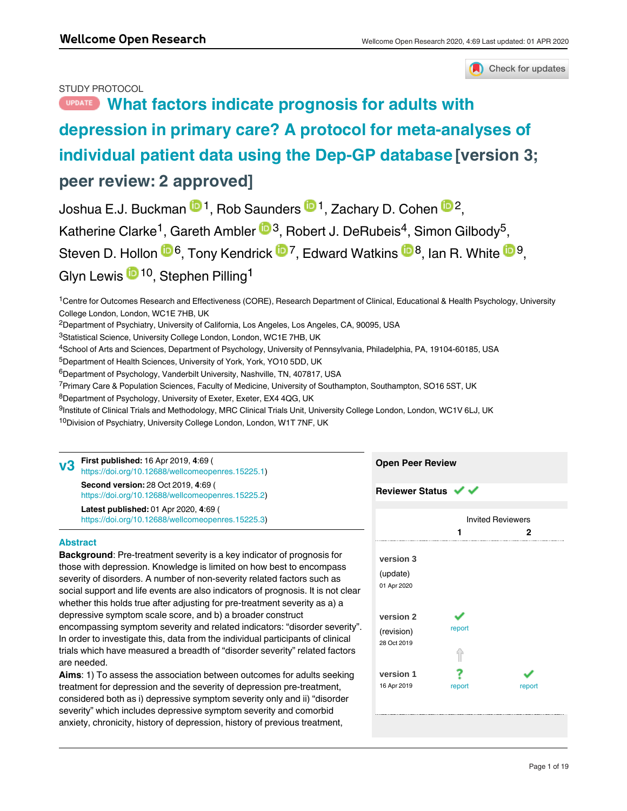

# STUDY PROTOCOL

# **[What factors indicate prognosis for adults with](https://wellcomeopenresearch.org/articles/4-69/v3) [depression in primary care? A protocol for meta-analyses of](https://wellcomeopenresearch.org/articles/4-69/v3) [individual patient data using the Dep-GP database](https://wellcomeopenresearch.org/articles/4-69/v3) [version 3; peer review: 2 approved]**

Joshua E.J. Buckman <sup>101</sup>, Rob Saunders <sup>101</sup>, Zachary D. Cohen <sup>102</sup>, Katherine Clarke<sup>1</sup>, Gareth Ambler <sup>193</sup>, Robert J. DeRubeis<sup>4</sup>, Simon Gilbody<sup>5</sup>, Steven D. Hollon  $\mathbf{D}^6$ , Tony Kendrick  $\mathbf{D}^7$ , Edward Watkins  $\mathbf{D}^8$ , Ian R. White  $\mathbf{D}^9$ , Glyn Lewis <sup>in 10</sup>, Stephen Pilling<sup>1</sup>

<sup>1</sup>Centre for Outcomes Research and Effectiveness (CORE), Research Department of Clinical, Educational & Health Psychology, University College London, London, WC1E 7HB, UK

<sup>2</sup>Department of Psychiatry, University of California, Los Angeles, Los Angeles, CA, 90095, USA

<sup>3</sup>Statistical Science, University College London, London, WC1E 7HB, UK

<sup>4</sup>School of Arts and Sciences, Department of Psychology, University of Pennsylvania, Philadelphia, PA, 19104-60185, USA

<sup>5</sup>Department of Health Sciences, University of York, York, YO10 5DD, UK

 $^6$ Department of Psychology, Vanderbilt University, Nashville, TN, 407817, USA

<sup>7</sup> Primary Care & Population Sciences, Faculty of Medicine, University of Southampton, Southampton, SO16 5ST, UK

<sup>8</sup>Department of Psychology, University of Exeter, Exeter, EX4 4QG, UK

<sup>9</sup>Institute of Clinical Trials and Methodology, MRC Clinical Trials Unit, University College London, London, WC1V 6LJ, UK

<sup>10</sup>Division of Psychiatry, University College London, London, W1T 7NF, UK

**First published:** 16 Apr 2019, **4**:69 ( [https://doi.org/10.12688/wellcomeopenres.15225.1\)](https://doi.org/10.12688/wellcomeopenres.15225.1) **Second version:** 28 Oct 2019, **4**:69 ( **v3**

[https://doi.org/10.12688/wellcomeopenres.15225.2\)](https://doi.org/10.12688/wellcomeopenres.15225.2) **Latest published:** 01 Apr 2020, **4**:69 (

[https://doi.org/10.12688/wellcomeopenres.15225.3\)](https://doi.org/10.12688/wellcomeopenres.15225.3)

# **Abstract**

**Background**: Pre-treatment severity is a key indicator of prognosis for those with depression. Knowledge is limited on how best to encompass severity of disorders. A number of non-severity related factors such as social support and life events are also indicators of prognosis. It is not clear whether this holds true after adjusting for pre-treatment severity as a) a depressive symptom scale score, and b) a broader construct encompassing symptom severity and related indicators: "disorder severity". In order to investigate this, data from the individual participants of clinical trials which have measured a breadth of "disorder severity" related factors are needed.

**Aims**: 1) To assess the association between outcomes for adults seeking treatment for depression and the severity of depression pre-treatment, considered both as i) depressive symptom severity only and ii) "disorder severity" which includes depressive symptom severity and comorbid anxiety, chronicity, history of depression, history of previous treatment,

functional impairment and health-related quality of life.

|        | <b>Invited Reviewers</b> |  |
|--------|--------------------------|--|
| 1      | 2                        |  |
|        |                          |  |
|        |                          |  |
|        |                          |  |
|        |                          |  |
|        |                          |  |
|        |                          |  |
|        |                          |  |
|        |                          |  |
| report |                          |  |
|        |                          |  |
|        |                          |  |
|        |                          |  |
|        |                          |  |
| report | report                   |  |
|        |                          |  |
|        |                          |  |
|        |                          |  |

**Open Peer Review**

**Reviewer Status ↓**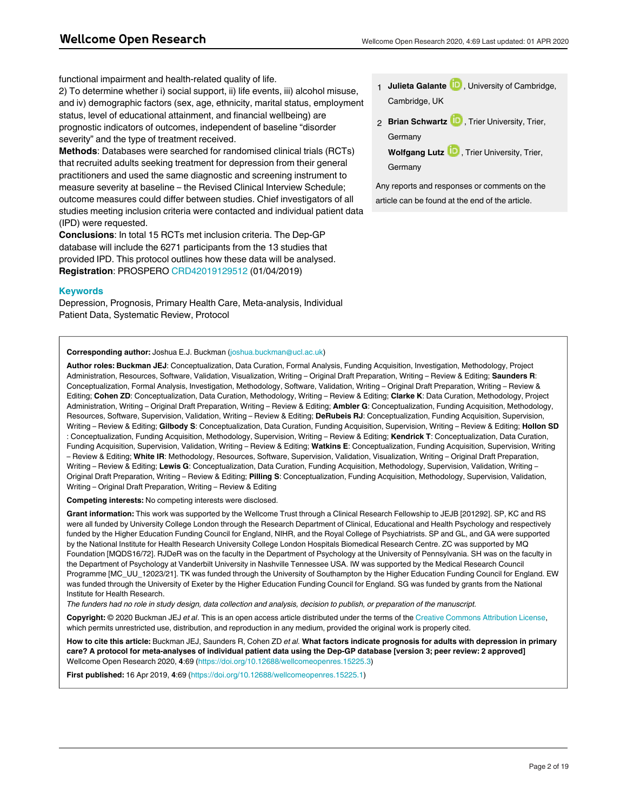functional impairment and health-related quality of life.

2) To determine whether i) social support, ii) life events, iii) alcohol misuse, and iv) demographic factors (sex, age, ethnicity, marital status, employment status, level of educational attainment, and financial wellbeing) are prognostic indicators of outcomes, independent of baseline "disorder severity" and the type of treatment received.

**Methods**: Databases were searched for randomised clinical trials (RCTs) that recruited adults seeking treatment for depression from their general practitioners and used the same diagnostic and screening instrument to measure severity at baseline – the Revised Clinical Interview Schedule; outcome measures could differ between studies. Chief investigators of all studies meeting inclusion criteria were contacted and individual patient data (IPD) were requested.

**Conclusions**: In total 15 RCTs met inclusion criteria. The Dep-GP database will include the 6271 participants from the 13 studies that provided IPD. This protocol outlines how these data will be analysed. **Registration**: PROSPERO [CRD42019129512](https://protect-eu.mimecast.com/s/CHQTCk9wuwQ5Eu2T6Af) (01/04/2019)

#### **Keywords**

Depression, Prognosis, Primary Health Care, Meta-analysis, Individual Patient Data, Systematic Review, Protocol

- 1 **Julieta Galante UP**, University of Cambridge, Cambridge, UK
- 2 **Brian Schwartz UD**, Trier University, Trier, **Germany** 
	- Wolfgang Lutz<sup>1D</sup>, Trier University, Trier, Germany

Any reports and responses or comments on the article can be found at the end of the article.

#### **Corresponding author:** Joshua E.J. Buckman (joshua.buckman@ucl.ac.uk)

**Author roles: Buckman JEJ**: Conceptualization, Data Curation, Formal Analysis, Funding Acquisition, Investigation, Methodology, Project Administration, Resources, Software, Validation, Visualization, Writing – Original Draft Preparation, Writing – Review & Editing; **Saunders R**: Conceptualization, Formal Analysis, Investigation, Methodology, Software, Validation, Writing – Original Draft Preparation, Writing – Review & Editing; **Cohen ZD**: Conceptualization, Data Curation, Methodology, Writing – Review & Editing; **Clarke K**: Data Curation, Methodology, Project Administration, Writing – Original Draft Preparation, Writing – Review & Editing; **Ambler G**: Conceptualization, Funding Acquisition, Methodology, Resources, Software, Supervision, Validation, Writing – Review & Editing; **DeRubeis RJ**: Conceptualization, Funding Acquisition, Supervision, Writing – Review & Editing; **Gilbody S**: Conceptualization, Data Curation, Funding Acquisition, Supervision, Writing – Review & Editing; **Hollon SD** : Conceptualization, Funding Acquisition, Methodology, Supervision, Writing – Review & Editing; **Kendrick T**: Conceptualization, Data Curation, Funding Acquisition, Supervision, Validation, Writing – Review & Editing; **Watkins E**: Conceptualization, Funding Acquisition, Supervision, Writing – Review & Editing; **White IR**: Methodology, Resources, Software, Supervision, Validation, Visualization, Writing – Original Draft Preparation, Writing – Review & Editing; **Lewis G**: Conceptualization, Data Curation, Funding Acquisition, Methodology, Supervision, Validation, Writing – Original Draft Preparation, Writing – Review & Editing; **Pilling S**: Conceptualization, Funding Acquisition, Methodology, Supervision, Validation, Writing – Original Draft Preparation, Writing – Review & Editing

**Competing interests:** No competing interests were disclosed.

**Grant information:** This work was supported by the Wellcome Trust through a Clinical Research Fellowship to JEJB [201292]. SP, KC and RS were all funded by University College London through the Research Department of Clinical, Educational and Health Psychology and respectively funded by the Higher Education Funding Council for England, NIHR, and the Royal College of Psychiatrists. SP and GL, and GA were supported by the National Institute for Health Research University College London Hospitals Biomedical Research Centre. ZC was supported by MQ Foundation [MQDS16/72]. RJDeR was on the faculty in the Department of Psychology at the University of Pennsylvania. SH was on the faculty in the Department of Psychology at Vanderbilt University in Nashville Tennessee USA. IW was supported by the Medical Research Council Programme [MC\_UU\_12023/21]. TK was funded through the University of Southampton by the Higher Education Funding Council for England. EW was funded through the University of Exeter by the Higher Education Funding Council for England. SG was funded by grants from the National Institute for Health Research.

*The funders had no role in study design, data collection and analysis, decision to publish, or preparation of the manuscript.*

**Copyright:** © 2020 Buckman JEJ *et al*. This is an open access article distributed under the terms of the [Creative Commons Attribution License,](http://creativecommons.org/licenses/by/4.0/) which permits unrestricted use, distribution, and reproduction in any medium, provided the original work is properly cited.

**How to cite this article:** Buckman JEJ, Saunders R, Cohen ZD *et al.* **What factors indicate prognosis for adults with depression in primary care? A protocol for meta-analyses of individual patient data using the Dep-GP database [version 3; peer review: 2 approved]** Wellcome Open Research 2020, **4**:69 (<https://doi.org/10.12688/wellcomeopenres.15225.3>)

**First published:** 16 Apr 2019, **4**:69 ([https://doi.org/10.12688/wellcomeopenres.15225.1\)](https://doi.org/10.12688/wellcomeopenres.15225.1)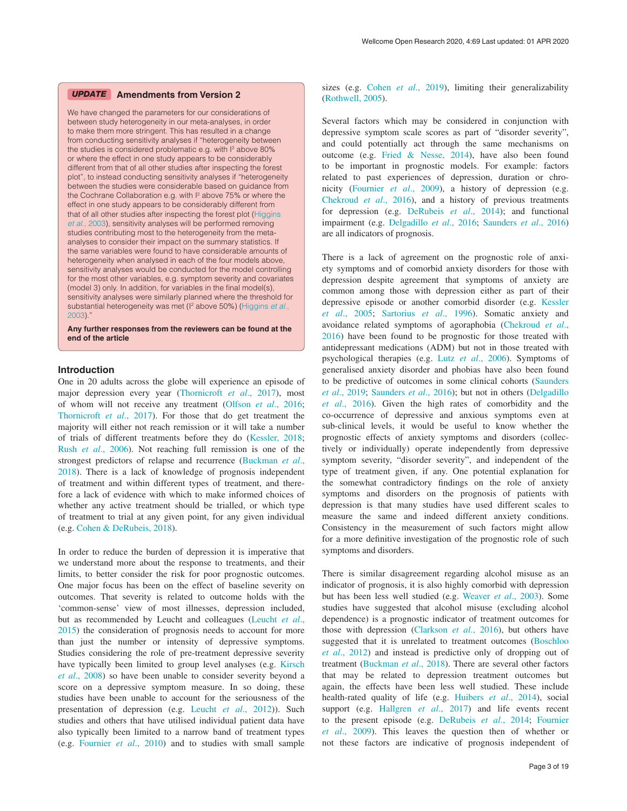#### **Amendments from Version 2** *UPDATE*

We have changed the parameters for our considerations of between study heterogeneity in our meta-analyses, in order to make them more stringent. This has resulted in a change from conducting sensitivity analyses if "heterogeneity between the studies is considered problematic e.g. with  $I^2$  above 80% or where the effect in one study appears to be considerably different from that of all other studies after inspecting the forest plot", to instead conducting sensitivity analyses if "heterogeneity between the studies were considerable based on guidance from the Cochrane Collaboration e.g. with I<sup>2</sup> above 75% or where the effect in one study appears to be considerably different from that of all other studies after inspecting the forest plot [\(Higgins](#page-11-0) *et al*[., 2003](#page-11-0)), sensitivity analyses will be performed removing studies contributing most to the heterogeneity from the metaanalyses to consider their impact on the summary statistics. If the same variables were found to have considerable amounts of heterogeneity when analysed in each of the four models above, sensitivity analyses would be conducted for the model controlling for the most other variables, e.g. symptom severity and covariates (model 3) only. In addition, for variables in the final model(s), sensitivity analyses were similarly planned where the threshold for substantial heterogeneity was met (<sup>2</sup> above 50%) [\(Higgins](#page-11-0) *et al.*, [2003\)](#page-11-0)."

**Any further responses from the reviewers can be found at the end of the article**

#### **Introduction**

One in 20 adults across the globe will experience an episode of major depression every year ([Thornicroft](#page-12-0) *et al*., 2017), most of whom will not receive any treatment [\(Olfson](#page-12-0) *et al*., 2016; [Thornicroft](#page-12-0) *et al*., 2017). For those that do get treatment the majority will either not reach remission or it will take a number of trials of different treatments before they do [\(Kessler, 2018](#page-11-0); Rush *et al*[., 2006](#page-12-0)). Not reaching full remission is one of the strongest predictors of relapse and recurrence ([Buckman](#page-11-0) *et al*., [2018\)](#page-11-0). There is a lack of knowledge of prognosis independent of treatment and within different types of treatment, and therefore a lack of evidence with which to make informed choices of whether any active treatment should be trialled, or which type of treatment to trial at any given point, for any given individual (e.g. [Cohen & DeRubeis, 2018\)](#page-11-0).

In order to reduce the burden of depression it is imperative that we understand more about the response to treatments, and their limits, to better consider the risk for poor prognostic outcomes. One major focus has been on the effect of baseline severity on outcomes. That severity is related to outcome holds with the 'common-sense' view of most illnesses, depression included, but as recommended by Leucht and colleagues ([Leucht](#page-11-0) *et al*., [2015\)](#page-11-0) the consideration of prognosis needs to account for more than just the number or intensity of depressive symptoms. Studies considering the role of pre-treatment depressive severity have typically been limited to group level analyses (e.g. [Kirsch](#page-11-0)  *et al*[., 2008](#page-11-0)) so have been unable to consider severity beyond a score on a depressive symptom measure. In so doing, these studies have been unable to account for the seriousness of the presentation of depression (e.g. Leucht *et al*[., 2012](#page-11-0))). Such studies and others that have utilised individual patient data have also typically been limited to a narrow band of treatment types (e.g. [Fournier](#page-11-0) *et al*., 2010) and to studies with small sample

sizes (e.g. Cohen *et al*[., 2019\)](#page-11-0), limiting their generalizability ([Rothwell, 2005](#page-12-0)).

Several factors which may be considered in conjunction with depressive symptom scale scores as part of "disorder severity", and could potentially act through the same mechanisms on outcome (e.g. [Fried & Nesse, 2014](#page-11-0)), have also been found to be important in prognostic models. For example: factors related to past experiences of depression, duration or chronicity [\(Fournier](#page-11-0) *et al*., 2009), a history of depression (e.g. [Chekroud](#page-11-0) *et al*., 2016), and a history of previous treatments for depression (e.g. [DeRubeis](#page-11-0) *et al*., 2014); and functional impairment (e.g. [Delgadillo](#page-11-0) *et al*., 2016; [Saunders](#page-12-0) *et al*., 2016) are all indicators of prognosis.

There is a lack of agreement on the prognostic role of anxiety symptoms and of comorbid anxiety disorders for those with depression despite agreement that symptoms of anxiety are common among those with depression either as part of their depressive episode or another comorbid disorder (e.g. [Kessler](#page-11-0)  *et al*[., 2005;](#page-11-0) [Sartorius](#page-12-0) *et al*., 1996). Somatic anxiety and avoidance related symptoms of agoraphobia [\(Chekroud](#page-11-0) *et al*., [2016\)](#page-11-0) have been found to be prognostic for those treated with antidepressant medications (ADM) but not in those treated with psychological therapies (e.g. Lutz *et al*[., 2006\)](#page-11-0). Symptoms of generalised anxiety disorder and phobias have also been found to be predictive of outcomes in some clinical cohorts ([Saunders](#page-12-0)  *et al*[., 2019](#page-12-0); [Saunders](#page-12-0) *et al*., 2016); but not in others ([Delgadillo](#page-11-0)  *et al*[., 2016](#page-11-0)). Given the high rates of comorbidity and the co-occurrence of depressive and anxious symptoms even at sub-clinical levels, it would be useful to know whether the prognostic effects of anxiety symptoms and disorders (collectively or individually) operate independently from depressive symptom severity, "disorder severity", and independent of the type of treatment given, if any. One potential explanation for the somewhat contradictory findings on the role of anxiety symptoms and disorders on the prognosis of patients with depression is that many studies have used different scales to measure the same and indeed different anxiety conditions. Consistency in the measurement of such factors might allow for a more definitive investigation of the prognostic role of such symptoms and disorders.

There is similar disagreement regarding alcohol misuse as an indicator of prognosis, it is also highly comorbid with depression but has been less well studied (e.g. [Weaver](#page-12-0) *et al*., 2003). Some studies have suggested that alcohol misuse (excluding alcohol dependence) is a prognostic indicator of treatment outcomes for those with depression ([Clarkson](#page-11-0) *et al*., 2016), but others have suggested that it is unrelated to treatment outcomes ([Boschloo](#page-11-0)  *et al*[., 2012](#page-11-0)) and instead is predictive only of dropping out of treatment ([Buckman](#page-11-0) *et al*., 2018). There are several other factors that may be related to depression treatment outcomes but again, the effects have been less well studied. These include health-rated quality of life (e.g. [Huibers](#page-11-0) *et al*., 2014), social support (e.g. [Hallgren](#page-11-0) *et al*., 2017) and life events recent to the present episode (e.g. [DeRubeis](#page-11-0) *et al*., 2014; [Fournier](#page-11-0)  *et al*[., 2009\)](#page-11-0). This leaves the question then of whether or not these factors are indicative of prognosis independent of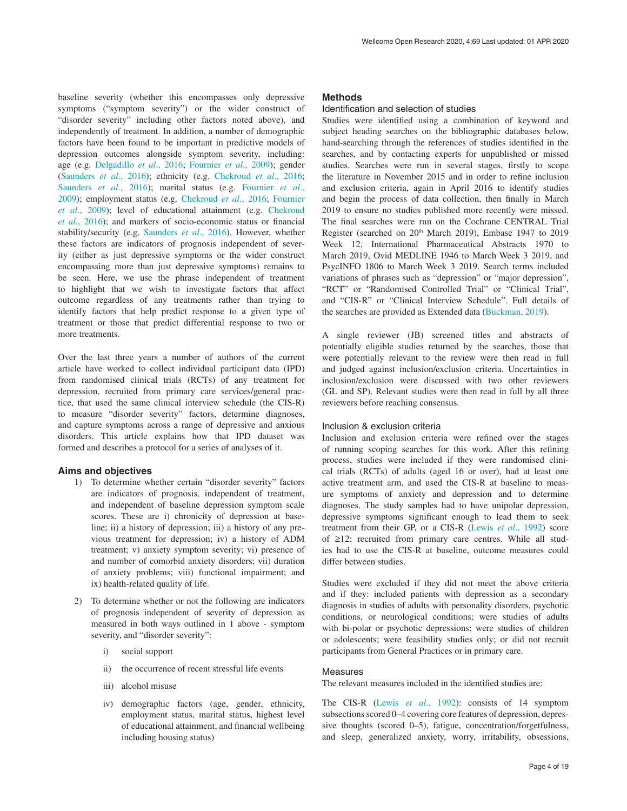baseline severity (whether this encompasses only depressive symptoms ("symptom severity") or the wider construct of "disorder severity" including other factors noted above), and independently of treatment. In addition, a number of demographic factors have been found to be important in predictive models of depression outcomes alongside symptom severity, including: age (e.g. [Delgadillo](#page-11-0) *et al*., 2016; [Fournier](#page-11-0) *et al*., 2009); gender ([Saunders](#page-12-0) *et al*., 2016); ethnicity (e.g. [Chekroud](#page-11-0) *et al*., 2016; [Saunders](#page-12-0) *et al*., 2016); marital status (e.g. [Fournier](#page-11-0) *et al*., [2009\)](#page-11-0); employment status (e.g. [Chekroud](#page-11-0) *et al*., 2016; [Fournier](#page-11-0)  *et al*[., 2009\)](#page-11-0); level of educational attainment (e.g. [Chekroud](#page-11-0)  *et al*[., 2016](#page-11-0)); and markers of socio-economic status or financial stability/security (e.g. [Saunders](#page-12-0) *et al*., 2016). However, whether these factors are indicators of prognosis independent of severity (either as just depressive symptoms or the wider construct encompassing more than just depressive symptoms) remains to be seen. Here, we use the phrase independent of treatment to highlight that we wish to investigate factors that affect outcome regardless of any treatments rather than trying to identify factors that help predict response to a given type of treatment or those that predict differential response to two or more treatments.

Over the last three years a number of authors of the current article have worked to collect individual participant data (IPD) from randomised clinical trials (RCTs) of any treatment for depression, recruited from primary care services/general practice, that used the same clinical interview schedule (the CIS-R) to measure "disorder severity" factors, determine diagnoses, and capture symptoms across a range of depressive and anxious disorders. This article explains how that IPD dataset was formed and describes a protocol for a series of analyses of it.

#### **Aims and objectives**

- 1) To determine whether certain "disorder severity" factors are indicators of prognosis, independent of treatment, and independent of baseline depression symptom scale scores. These are i) chronicity of depression at baseline; ii) a history of depression; iii) a history of any previous treatment for depression; iv) a history of ADM treatment; v) anxiety symptom severity; vi) presence of and number of comorbid anxiety disorders; vii) duration of anxiety problems; viii) functional impairment; and ix) health-related quality of life.
- 2) To determine whether or not the following are indicators of prognosis independent of severity of depression as measured in both ways outlined in 1 above - symptom severity, and "disorder severity":
	- i) social support
	- ii) the occurrence of recent stressful life events
	- iii) alcohol misuse
	- iv) demographic factors (age, gender, ethnicity, employment status, marital status, highest level of educational attainment, and financial wellbeing including housing status)

#### **Methods**

#### Identification and selection of studies

Studies were identified using a combination of keyword and subject heading searches on the bibliographic databases below, hand-searching through the references of studies identified in the searches, and by contacting experts for unpublished or missed studies. Searches were run in several stages, firstly to scope the literature in November 2015 and in order to refine inclusion and exclusion criteria, again in April 2016 to identify studies and begin the process of data collection, then finally in March 2019 to ensure no studies published more recently were missed. The final searches were run on the Cochrane CENTRAL Trial Register (searched on 20<sup>th</sup> March 2019), Embase 1947 to 2019 Week 12, International Pharmaceutical Abstracts 1970 to March 2019, Ovid MEDLINE 1946 to March Week 3 2019, and PsycINFO 1806 to March Week 3 2019. Search terms included variations of phrases such as "depression" or "major depression", "RCT" or "Randomised Controlled Trial" or "Clinical Trial", and "CIS-R" or "Clinical Interview Schedule". Full details of the searches are provided as Extended data [\(Buckman, 2019](#page-11-0)).

A single reviewer (JB) screened titles and abstracts of potentially eligible studies returned by the searches, those that were potentially relevant to the review were then read in full and judged against inclusion/exclusion criteria. Uncertainties in inclusion/exclusion were discussed with two other reviewers (GL and SP). Relevant studies were then read in full by all three reviewers before reaching consensus.

#### Inclusion & exclusion criteria

Inclusion and exclusion criteria were refined over the stages of running scoping searches for this work. After this refining process, studies were included if they were randomised clinical trials (RCTs) of adults (aged 16 or over), had at least one active treatment arm, and used the CIS-R at baseline to measure symptoms of anxiety and depression and to determine diagnoses. The study samples had to have unipolar depression, depressive symptoms significant enough to lead them to seek treatment from their GP, or a CIS-R (Lewis *et al*[., 1992\)](#page-11-0) score of ≥12; recruited from primary care centres. While all studies had to use the CIS-R at baseline, outcome measures could differ between studies.

Studies were excluded if they did not meet the above criteria and if they: included patients with depression as a secondary diagnosis in studies of adults with personality disorders, psychotic conditions, or neurological conditions; were studies of adults with bi-polar or psychotic depressions; were studies of children or adolescents; were feasibility studies only; or did not recruit participants from General Practices or in primary care.

#### Measures

The relevant measures included in the identified studies are:

The CIS-R (Lewis *et al*[., 1992](#page-11-0)): consists of 14 symptom subsections scored 0–4 covering core features of depression, depressive thoughts (scored 0–5), fatigue, concentration/forgetfulness, and sleep, generalized anxiety, worry, irritability, obsessions,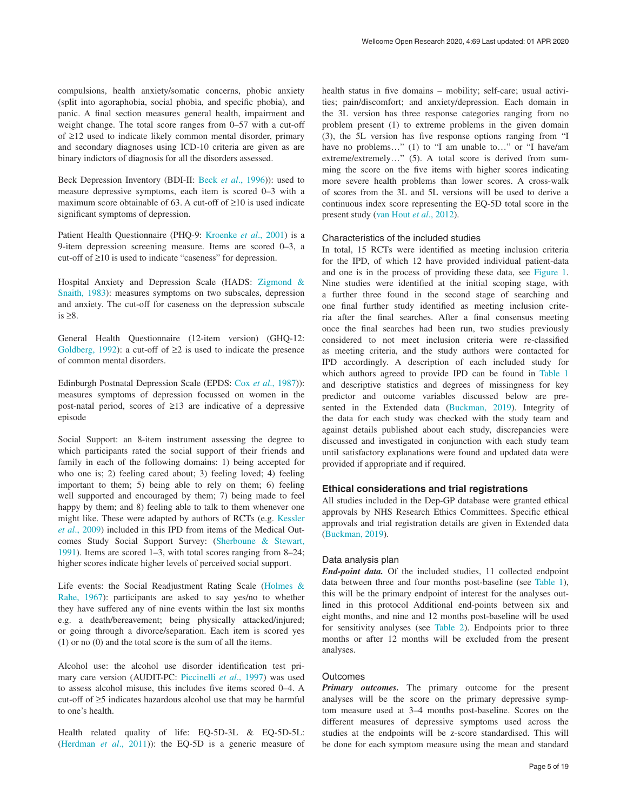compulsions, health anxiety/somatic concerns, phobic anxiety (split into agoraphobia, social phobia, and specific phobia), and panic. A final section measures general health, impairment and weight change. The total score ranges from 0–57 with a cut-off of ≥12 used to indicate likely common mental disorder, primary and secondary diagnoses using ICD-10 criteria are given as are binary indictors of diagnosis for all the disorders assessed.

Beck Depression Inventory (BDI-II: Beck *et al*[., 1996\)](#page-11-0)): used to measure depressive symptoms, each item is scored 0–3 with a maximum score obtainable of 63. A cut-off of ≥10 is used indicate significant symptoms of depression.

Patient Health Questionnaire (PHQ-9: [Kroenke](#page-11-0) *et al*., 2001) is a 9-item depression screening measure. Items are scored 0–3, a cut-off of ≥10 is used to indicate "caseness" for depression.

Hospital Anxiety and Depression Scale (HADS: [Zigmond &](#page-12-0)  [Snaith, 1983](#page-12-0)): measures symptoms on two subscales, depression and anxiety. The cut-off for caseness on the depression subscale is ≥8.

General Health Questionnaire (12-item version) (GHQ-12: [Goldberg, 1992](#page-11-0)): a cut-off of  $\geq 2$  is used to indicate the presence of common mental disorders.

Edinburgh Postnatal Depression Scale (EPDS: Cox *et al*[., 1987](#page-11-0))): measures symptoms of depression focussed on women in the post-natal period, scores of ≥13 are indicative of a depressive episode

Social Support: an 8-item instrument assessing the degree to which participants rated the social support of their friends and family in each of the following domains: 1) being accepted for who one is; 2) feeling cared about; 3) feeling loved; 4) feeling important to them; 5) being able to rely on them; 6) feeling well supported and encouraged by them; 7) being made to feel happy by them; and 8) feeling able to talk to them whenever one might like. These were adapted by authors of RCTs (e.g. [Kessler](#page-11-0) *et al*[., 2009\)](#page-11-0) included in this IPD from items of the Medical Outcomes Study Social Support Survey: [\(Sherboune & Stewart,](#page-12-0)  [1991\)](#page-12-0). Items are scored 1–3, with total scores ranging from 8–24; higher scores indicate higher levels of perceived social support.

Life events: the Social Readjustment Rating Scale [\(Holmes &](#page-11-0)  [Rahe, 1967](#page-11-0)): participants are asked to say yes/no to whether they have suffered any of nine events within the last six months e.g. a death/bereavement; being physically attacked/injured; or going through a divorce/separation. Each item is scored yes (1) or no (0) and the total score is the sum of all the items.

Alcohol use: the alcohol use disorder identification test primary care version (AUDIT-PC: [Piccinelli](#page-12-0) *et al*., 1997) was used to assess alcohol misuse, this includes five items scored 0–4. A cut-off of ≥5 indicates hazardous alcohol use that may be harmful to one's health.

Health related quality of life: EQ-5D-3L & EQ-5D-5L: ([Herdman](#page-11-0) *et al*., 2011)): the EQ-5D is a generic measure of health status in five domains – mobility; self-care; usual activities; pain/discomfort; and anxiety/depression. Each domain in the 3L version has three response categories ranging from no problem present (1) to extreme problems in the given domain (3), the 5L version has five response options ranging from "I have no problems..." (1) to "I am unable to..." or "I have/am extreme/extremely..." (5). A total score is derived from summing the score on the five items with higher scores indicating more severe health problems than lower scores. A cross-walk of scores from the 3L and 5L versions will be used to derive a continuous index score representing the EQ-5D total score in the present study ([van Hout](#page-12-0) *et al*., 2012).

#### Characteristics of the included studies

In total, 15 RCTs were identified as meeting inclusion criteria for the IPD, of which 12 have provided individual patient-data and one is in the process of providing these data, see [Figure 1](#page-5-0). Nine studies were identified at the initial scoping stage, with a further three found in the second stage of searching and one final further study identified as meeting inclusion criteria after the final searches. After a final consensus meeting once the final searches had been run, two studies previously considered to not meet inclusion criteria were re-classified as meeting criteria, and the study authors were contacted for IPD accordingly. A description of each included study for which authors agreed to provide IPD can be found in [Table 1](#page-6-0) and descriptive statistics and degrees of missingness for key predictor and outcome variables discussed below are presented in the Extended data ([Buckman, 2019\)](#page-11-0). Integrity of the data for each study was checked with the study team and against details published about each study, discrepancies were discussed and investigated in conjunction with each study team until satisfactory explanations were found and updated data were provided if appropriate and if required.

#### **Ethical considerations and trial registrations**

All studies included in the Dep-GP database were granted ethical approvals by NHS Research Ethics Committees. Specific ethical approvals and trial registration details are given in Extended data ([Buckman, 2019\)](#page-11-0).

#### Data analysis plan

*End-point data.* Of the included studies, 11 collected endpoint data between three and four months post-baseline (see [Table 1](#page-6-0)), this will be the primary endpoint of interest for the analyses outlined in this protocol Additional end-points between six and eight months, and nine and 12 months post-baseline will be used for sensitivity analyses (see [Table 2](#page-7-0)). Endpoints prior to three months or after 12 months will be excluded from the present analyses.

#### **Outcomes**

*Primary outcomes.* The primary outcome for the present analyses will be the score on the primary depressive symptom measure used at 3–4 months post-baseline. Scores on the different measures of depressive symptoms used across the studies at the endpoints will be z-score standardised. This will be done for each symptom measure using the mean and standard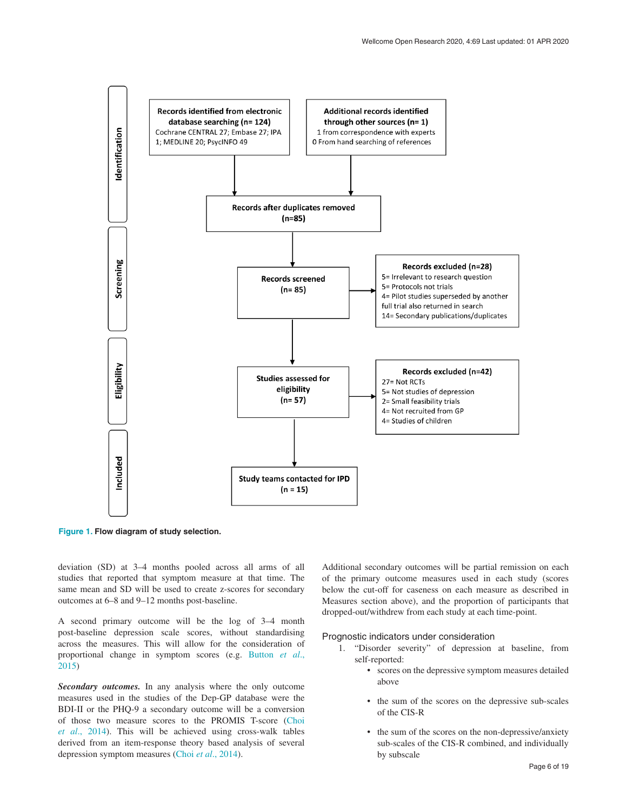<span id="page-5-0"></span>

**Figure 1. Flow diagram of study selection.**

deviation (SD) at 3–4 months pooled across all arms of all studies that reported that symptom measure at that time. The same mean and SD will be used to create z-scores for secondary outcomes at 6–8 and 9–12 months post-baseline.

A second primary outcome will be the log of 3–4 month post-baseline depression scale scores, without standardising across the measures. This will allow for the consideration of proportional change in symptom scores (e.g. [Button](#page-11-0) *et al*., [2015\)](#page-11-0)

*Secondary outcomes.* In any analysis where the only outcome measures used in the studies of the Dep-GP database were the BDI-II or the PHQ-9 a secondary outcome will be a conversion of those two measure scores to the PROMIS T-score [\(Choi](#page-11-0)  *et al*[., 2014\)](#page-11-0). This will be achieved using cross-walk tables derived from an item-response theory based analysis of several depression symptom measures (Choi *et al*[., 2014](#page-11-0)).

Additional secondary outcomes will be partial remission on each of the primary outcome measures used in each study (scores below the cut-off for caseness on each measure as described in Measures section above), and the proportion of participants that dropped-out/withdrew from each study at each time-point.

#### Prognostic indicators under consideration

- 1. "Disorder severity" of depression at baseline, from self-reported:
	- scores on the depressive symptom measures detailed above
	- the sum of the scores on the depressive sub-scales of the CIS-R
	- the sum of the scores on the non-depressive/anxiety sub-scales of the CIS-R combined, and individually by subscale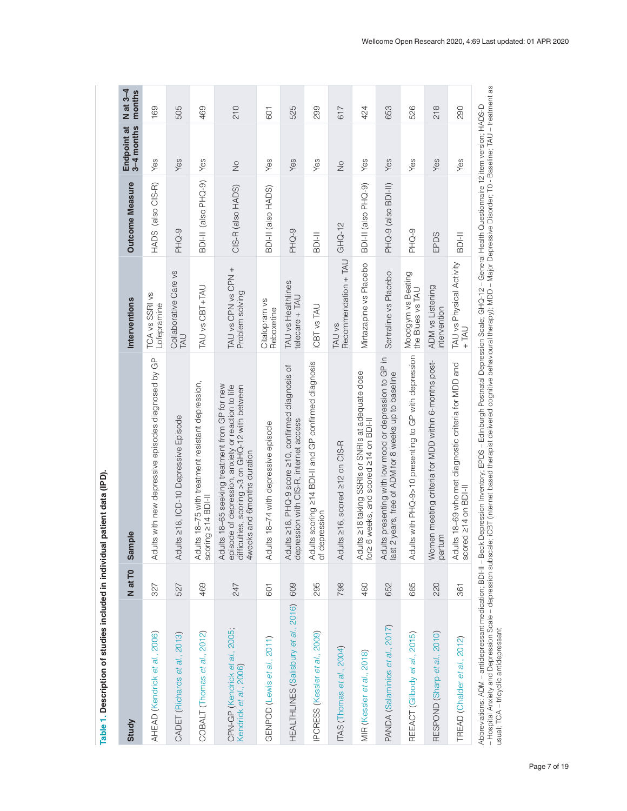<span id="page-6-0"></span>

| Study                                                    | N at T <sub>0</sub> | ple<br>Sam                                                                                                                                                                                   | Interventions                          | Outcome Measure     | Endpoint at<br>3–4 months | $N$ at 3-4<br>months |
|----------------------------------------------------------|---------------------|----------------------------------------------------------------------------------------------------------------------------------------------------------------------------------------------|----------------------------------------|---------------------|---------------------------|----------------------|
| AHEAD (Kendrick et al., 2006)                            | 327                 | Its with new depressive episodes diagnosed by GP<br>Adul                                                                                                                                     | TCA vs SSRI vs<br>Lofepramine          | HADS (also CIS-R)   | Yes                       | 169                  |
| CADET (Richards et al., 2013)                            | 527                 | Adults 218, ICD-10 Depressive Episode                                                                                                                                                        | Collaborative Care vs<br>LAU           | PHQ-9               | Yes                       | 505                  |
| COBALT (Thomas et al., 2012)                             | 469                 | Its 18-75 with treatment resistant depression,<br>scoring 214 BDI-II<br>Adul                                                                                                                 | TAU vs CBT+TAU                         | BDI-II (also PHQ-9) | Yes                       | 469                  |
| CPN-GP (Kendrick et al., 2005;<br>Kendrick et al., 2006) | 247                 | Adults 18-65 seeking treatment from GP for new<br>episode of depression, anxiety or reaction to life<br>difficulties, scoring >3 on GHQ-12 with between<br>4weeks and 6months duration       | TAU vs CPN vs CPN +<br>Problem solving | CIS-R (also HADS)   | $\frac{1}{2}$             | 210                  |
| GENPOD (Lewis et al., 2011)                              | 601                 | Adults 18-74 with depressive episode                                                                                                                                                         | Citalopram vs<br>Reboxetine            | BDI-II (also HADS)  | Yes                       | 601                  |
| HEALTHLINES (Salisbury et al., 2016)                     | 609                 | Its ≥18, PHQ-9 score ≥10, confirmed diagnosis of<br>depression with CIS-R, internet access<br>Adul                                                                                           | TAU vs Healthlines<br>$telecare + TAU$ | PHQ-9               | Yes                       | 525                  |
| PCRESS (Kessler et al., 2009)                            | 295                 | Adults scoring ≥14 BDI-II and GP confirmed diagnosis<br>of depression                                                                                                                        | <b>CBT</b> vs TAU                      | <b>BDI-II</b>       | Yes                       | 299                  |
| TAS (Thomas et al., 2004)                                | 798                 | Its ≥16, scored ≥12 on CIS-R<br>Adul                                                                                                                                                         | Recommendation + TAU<br>TAU vs         | $GHQ-12$            | $\frac{1}{2}$             | 617                  |
| MIR (Kessler et al., 2018)                               | 480                 | Its ≥18 taking SSRIs or SNRIs at adequate dose<br>6 weeks, and scored 214 on BDI-II<br>Adul<br>for                                                                                           | Mirtazapine vs Placebo                 | BDI-II (also PHQ-9) | Yes                       | 424                  |
| PANDA (Salaminios et al., 2017)                          | 652                 | Its presenting with low mood or depression to GP in<br>2 years, free of ADM for 8 weeks up to baseline<br>Adu<br>last                                                                        | Sertraline vs Placebo                  | PHQ-9 (also BDI-II) | Yes                       | 653                  |
| REEACT (Gilbody et al., 2015)                            | 685                 | Its with PHQ-9>10 presenting to GP with depression<br>Adul                                                                                                                                   | Moodgym vs Beating<br>the Blues vs TAU | PHQ-9               | Yes                       | 526                  |
| RESPOND (Sharp et al., 2010)                             | 220                 | Women meeting criteria for MDD within 6-months post-<br>partum                                                                                                                               | ADM vs Listening<br>intervention       | EPDS                | Yes                       | 218                  |
| TREAD (Chalder et al., 2012)                             | 361                 | Adults 18-69 who met diagnostic criteria for MDD and<br>scored 214 on BDI-II                                                                                                                 | TAU vs Physical Activity<br>$+TM$      | <b>II-IOB</b>       | Yes                       | 290                  |
|                                                          |                     | Abbreviations: ADM - antidepressant medication: BDHI - Beck Depression Inventory: EPDS - Edinburgh Postnatal Depression Scale: GHQ-12 - General Health Questionnaire 12 item version: HADS-D |                                        |                     |                           |                      |

Table 1. Description of studies included in individual patient data (IPD). **Table 1. Description of studies included in individual patient data (IPD).**

ADoreviations. ADM – alliudpressalt inelucation, bD/-ii – betw. Depression invelitory, EnDo – Culturigh rostical depression occale, Charles and a meani vulstion invelied, inAD-D-Mospital Anxiety and Depression Scale – depr – Hospital Anxiety and Depression Scale – depression subscale; iCBT (internet based therapist delivered cognitive behavioural therapy); MDD – Major Depressive Disorder; T0 - Baseline; TAU – treatment as Abbreviations: ADM – antidepressant medication; BDI-II – Beck Depression Inventory; EPDS – Edinburgh Postnatal Depression Scale; GHQ-12 – General Health Questionnaire 12 item version; HADS-D usual; TCA – tricyclic antidepressant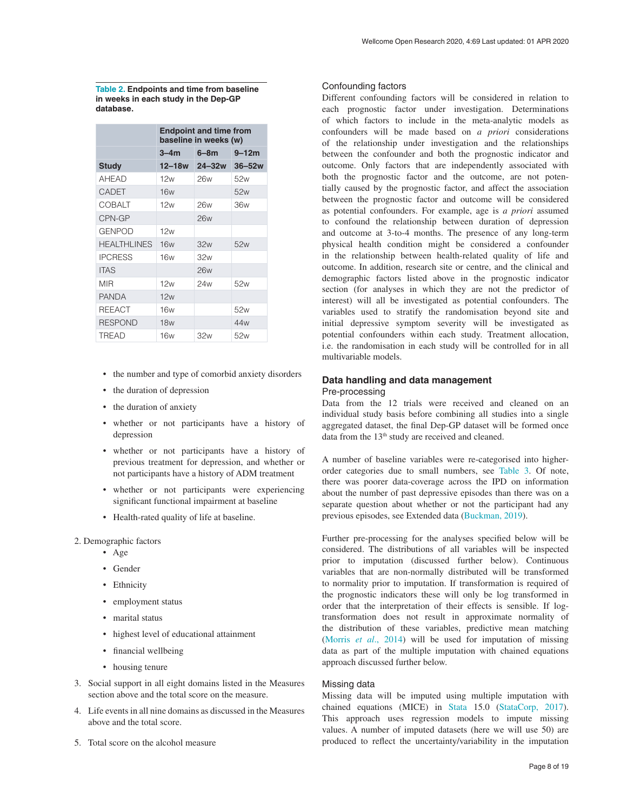<span id="page-7-0"></span>**Table 2. Endpoints and time from baseline in weeks in each study in the Dep-GP database.**

|                    | <b>Endpoint and time from</b><br>baseline in weeks (w) |            |                 |
|--------------------|--------------------------------------------------------|------------|-----------------|
|                    | $3 - 4m$                                               | $6 - 8m$   | $9 - 12m$       |
| <b>Study</b>       | 12–18w                                                 | $24 - 32w$ | $36 - 52w$      |
| <b>AHEAD</b>       | 12w                                                    | 26w        | 52w             |
| CADET              | <b>16w</b>                                             |            | 52w             |
| COBALT             | 12w                                                    | 26w        | 36w             |
| CPN-GP             |                                                        | 26w        |                 |
| <b>GENPOD</b>      | 12w                                                    |            |                 |
| <b>HEALTHLINES</b> | 16w                                                    | 32w        | 52w             |
| <b>IPCRESS</b>     | 16w                                                    | 32w        |                 |
| <b>ITAS</b>        |                                                        | 26w        |                 |
| MIR                | 12w                                                    | 24w        | 52w             |
| <b>PANDA</b>       | 12w                                                    |            |                 |
| <b>REEACT</b>      | 16w                                                    |            | 52w             |
| <b>RESPOND</b>     | <b>18w</b>                                             |            | 44 <sub>w</sub> |
| TREAD              | 16w                                                    | 32w        | 52w             |

- the number and type of comorbid anxiety disorders
- the duration of depression
- the duration of anxiety
- whether or not participants have a history of depression
- whether or not participants have a history of previous treatment for depression, and whether or not participants have a history of ADM treatment
- whether or not participants were experiencing significant functional impairment at baseline
- Health-rated quality of life at baseline.
- 2. Demographic factors
	- Age
	- Gender
	- Ethnicity
	- employment status
	- marital status
	- highest level of educational attainment
	- financial wellbeing
	- housing tenure
- 3. Social support in all eight domains listed in the Measures section above and the total score on the measure.
- 4. Life events in all nine domains as discussed in the Measures above and the total score.
- 5. Total score on the alcohol measure

#### Confounding factors

Different confounding factors will be considered in relation to each prognostic factor under investigation. Determinations of which factors to include in the meta-analytic models as confounders will be made based on *a priori* considerations of the relationship under investigation and the relationships between the confounder and both the prognostic indicator and outcome. Only factors that are independently associated with both the prognostic factor and the outcome, are not potentially caused by the prognostic factor, and affect the association between the prognostic factor and outcome will be considered as potential confounders. For example, age is *a priori* assumed to confound the relationship between duration of depression and outcome at 3-to-4 months. The presence of any long-term physical health condition might be considered a confounder in the relationship between health-related quality of life and outcome. In addition, research site or centre, and the clinical and demographic factors listed above in the prognostic indicator section (for analyses in which they are not the predictor of interest) will all be investigated as potential confounders. The variables used to stratify the randomisation beyond site and initial depressive symptom severity will be investigated as potential confounders within each study. Treatment allocation, i.e. the randomisation in each study will be controlled for in all multivariable models.

## **Data handling and data management** Pre-processing

Data from the 12 trials were received and cleaned on an individual study basis before combining all studies into a single aggregated dataset, the final Dep-GP dataset will be formed once data from the 13<sup>th</sup> study are received and cleaned.

A number of baseline variables were re-categorised into higherorder categories due to small numbers, see [Table 3.](#page-8-0) Of note, there was poorer data-coverage across the IPD on information about the number of past depressive episodes than there was on a separate question about whether or not the participant had any previous episodes, see Extended data [\(Buckman, 2019](#page-11-0)).

Further pre-processing for the analyses specified below will be considered. The distributions of all variables will be inspected prior to imputation (discussed further below). Continuous variables that are non-normally distributed will be transformed to normality prior to imputation. If transformation is required of the prognostic indicators these will only be log transformed in order that the interpretation of their effects is sensible. If logtransformation does not result in approximate normality of the distribution of these variables, predictive mean matching (Morris *et al*[., 2014](#page-12-0)) will be used for imputation of missing data as part of the multiple imputation with chained equations approach discussed further below.

#### Missing data

Missing data will be imputed using multiple imputation with chained equations (MICE) in [Stata](https://www.stata.com/) 15.0 ([StataCorp, 2017](#page-12-0)). This approach uses regression models to impute missing values. A number of imputed datasets (here we will use 50) are produced to reflect the uncertainty/variability in the imputation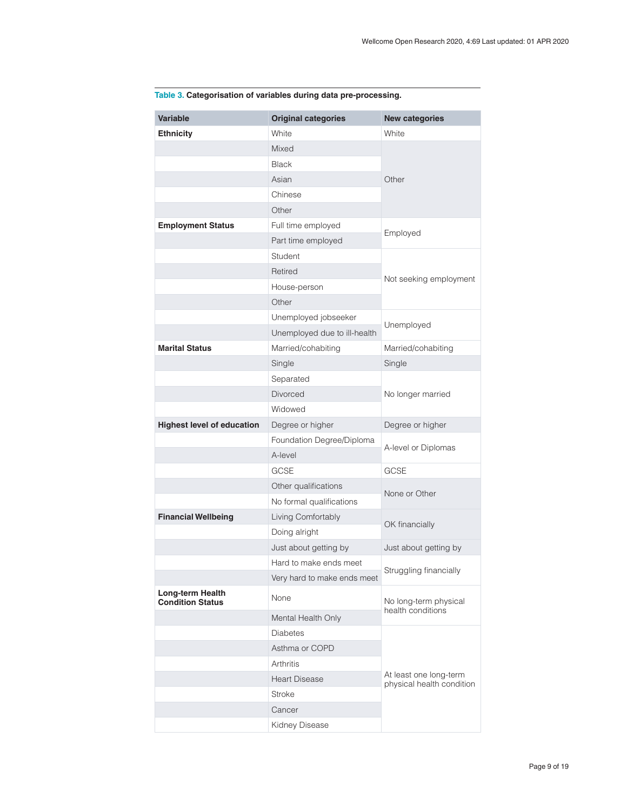| <b>Variable</b>                             | <b>Original categories</b>   | <b>New categories</b>                                                |  |
|---------------------------------------------|------------------------------|----------------------------------------------------------------------|--|
| <b>Ethnicity</b>                            | White                        | White                                                                |  |
|                                             | Mixed                        |                                                                      |  |
|                                             | <b>Black</b>                 | Other                                                                |  |
|                                             | Asian                        |                                                                      |  |
|                                             | Chinese                      |                                                                      |  |
|                                             | Other                        |                                                                      |  |
| <b>Employment Status</b>                    | Full time employed           | Employed                                                             |  |
|                                             | Part time employed           |                                                                      |  |
|                                             | Student                      |                                                                      |  |
|                                             | Retired                      | Not seeking employment                                               |  |
|                                             | House-person                 |                                                                      |  |
|                                             | Other                        |                                                                      |  |
|                                             | Unemployed jobseeker         | Unemployed                                                           |  |
|                                             | Unemployed due to ill-health |                                                                      |  |
| <b>Marital Status</b>                       | Married/cohabiting           | Married/cohabiting                                                   |  |
|                                             | Single                       | Single                                                               |  |
|                                             | Separated                    |                                                                      |  |
|                                             | <b>Divorced</b>              | No longer married                                                    |  |
|                                             | Widowed                      |                                                                      |  |
| <b>Highest level of education</b>           | Degree or higher             | Degree or higher                                                     |  |
|                                             | Foundation Degree/Diploma    | A-level or Diplomas                                                  |  |
|                                             | A-level                      |                                                                      |  |
|                                             | <b>GCSE</b>                  | <b>GCSE</b>                                                          |  |
|                                             | Other qualifications         | None or Other                                                        |  |
|                                             | No formal qualifications     |                                                                      |  |
| <b>Financial Wellbeing</b>                  | Living Comfortably           | OK financially                                                       |  |
|                                             | Doing alright                |                                                                      |  |
|                                             | Just about getting by        | Just about getting by                                                |  |
|                                             | Hard to make ends meet       | Struggling financially<br>No long-term physical<br>health conditions |  |
|                                             | Very hard to make ends meet  |                                                                      |  |
| Long-term Health<br><b>Condition Status</b> | None                         |                                                                      |  |
|                                             | Mental Health Only           |                                                                      |  |
|                                             | <b>Diabetes</b>              |                                                                      |  |
|                                             | Asthma or COPD               | At least one long-term<br>physical health condition                  |  |
|                                             | Arthritis                    |                                                                      |  |
|                                             | <b>Heart Disease</b>         |                                                                      |  |
|                                             | Stroke                       |                                                                      |  |
|                                             | Cancer                       |                                                                      |  |
|                                             | Kidney Disease               |                                                                      |  |

## <span id="page-8-0"></span>**Table 3. Categorisation of variables during data pre-processing.**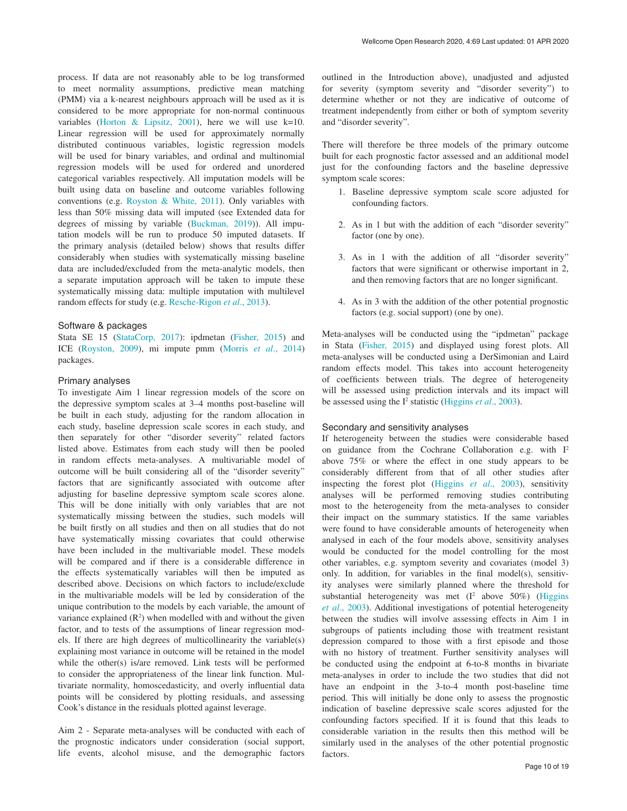process. If data are not reasonably able to be log transformed to meet normality assumptions, predictive mean matching (PMM) via a k-nearest neighbours approach will be used as it is considered to be more appropriate for non-normal continuous variables [\(Horton & Lipsitz, 2001\)](#page-11-0), here we will use k=10. Linear regression will be used for approximately normally distributed continuous variables, logistic regression models will be used for binary variables, and ordinal and multinomial regression models will be used for ordered and unordered categorical variables respectively. All imputation models will be built using data on baseline and outcome variables following conventions (e.g. [Royston & White, 2011](#page-12-0)). Only variables with less than 50% missing data will imputed (see Extended data for degrees of missing by variable [\(Buckman, 2019](#page-11-0))). All imputation models will be run to produce 50 imputed datasets. If the primary analysis (detailed below) shows that results differ considerably when studies with systematically missing baseline data are included/excluded from the meta-analytic models, then a separate imputation approach will be taken to impute these systematically missing data: multiple imputation with multilevel random effects for study (e.g. [Resche-Rigon](#page-12-0) *et al*., 2013).

#### Software & packages

Stata SE 15 ([StataCorp, 2017](#page-12-0)): ipdmetan [\(Fisher, 2015](#page-11-0)) and ICE ([Royston, 2009](#page-12-0)), mi impute pmm (Morris *et al*[., 2014\)](#page-12-0) packages.

#### Primary analyses

To investigate Aim 1 linear regression models of the score on the depressive symptom scales at 3–4 months post-baseline will be built in each study, adjusting for the random allocation in each study, baseline depression scale scores in each study, and then separately for other "disorder severity" related factors listed above. Estimates from each study will then be pooled in random effects meta-analyses. A multivariable model of outcome will be built considering all of the "disorder severity" factors that are significantly associated with outcome after adjusting for baseline depressive symptom scale scores alone. This will be done initially with only variables that are not systematically missing between the studies, such models will be built firstly on all studies and then on all studies that do not have systematically missing covariates that could otherwise have been included in the multivariable model. These models will be compared and if there is a considerable difference in the effects systematically variables will then be imputed as described above. Decisions on which factors to include/exclude in the multivariable models will be led by consideration of the unique contribution to the models by each variable, the amount of variance explained  $(R^2)$  when modelled with and without the given factor, and to tests of the assumptions of linear regression models. If there are high degrees of multicollinearity the variable(s) explaining most variance in outcome will be retained in the model while the other(s) is/are removed. Link tests will be performed to consider the appropriateness of the linear link function. Multivariate normality, homoscedasticity, and overly influential data points will be considered by plotting residuals, and assessing Cook's distance in the residuals plotted against leverage.

Aim 2 - Separate meta-analyses will be conducted with each of the prognostic indicators under consideration (social support, life events, alcohol misuse, and the demographic factors

outlined in the Introduction above), unadjusted and adjusted for severity (symptom severity and "disorder severity") to determine whether or not they are indicative of outcome of treatment independently from either or both of symptom severity and "disorder severity".

There will therefore be three models of the primary outcome built for each prognostic factor assessed and an additional model just for the confounding factors and the baseline depressive symptom scale scores:

- 1. Baseline depressive symptom scale score adjusted for confounding factors.
- 2. As in 1 but with the addition of each "disorder severity" factor (one by one).
- 3. As in 1 with the addition of all "disorder severity" factors that were significant or otherwise important in 2, and then removing factors that are no longer significant.
- 4. As in 3 with the addition of the other potential prognostic factors (e.g. social support) (one by one).

Meta-analyses will be conducted using the "ipdmetan" package in Stata ([Fisher, 2015](#page-11-0)) and displayed using forest plots. All meta-analyses will be conducted using a DerSimonian and Laird random effects model. This takes into account heterogeneity of coefficients between trials. The degree of heterogeneity will be assessed using prediction intervals and its impact will be assessed using the I<sup>2</sup> statistic ([Higgins](#page-11-0) *et al.*, 2003).

#### Secondary and sensitivity analyses

If heterogeneity between the studies were considerable based on guidance from the Cochrane Collaboration e.g. with I<sup>2</sup> above 75% or where the effect in one study appears to be considerably different from that of all other studies after inspecting the forest plot ([Higgins](#page-11-0) *et al*., 2003), sensitivity analyses will be performed removing studies contributing most to the heterogeneity from the meta-analyses to consider their impact on the summary statistics. If the same variables were found to have considerable amounts of heterogeneity when analysed in each of the four models above, sensitivity analyses would be conducted for the model controlling for the most other variables, e.g. symptom severity and covariates (model 3) only. In addition, for variables in the final model(s), sensitivity analyses were similarly planned where the threshold for substantial heterogeneity was met  $(I^2 \tabla \omega)$  (Higgins *et al*[., 2003\)](#page-11-0). Additional investigations of potential heterogeneity between the studies will involve assessing effects in Aim 1 in subgroups of patients including those with treatment resistant depression compared to those with a first episode and those with no history of treatment. Further sensitivity analyses will be conducted using the endpoint at 6-to-8 months in bivariate meta-analyses in order to include the two studies that did not have an endpoint in the 3-to-4 month post-baseline time period. This will initially be done only to assess the prognostic indication of baseline depressive scale scores adjusted for the confounding factors specified. If it is found that this leads to considerable variation in the results then this method will be similarly used in the analyses of the other potential prognostic factors.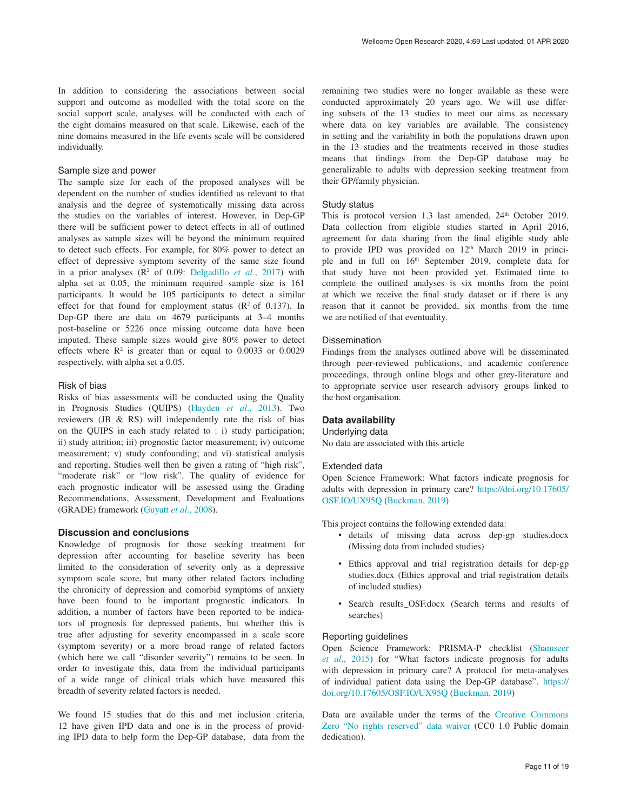In addition to considering the associations between social support and outcome as modelled with the total score on the social support scale, analyses will be conducted with each of the eight domains measured on that scale. Likewise, each of the nine domains measured in the life events scale will be considered individually.

#### Sample size and power

The sample size for each of the proposed analyses will be dependent on the number of studies identified as relevant to that analysis and the degree of systematically missing data across the studies on the variables of interest. However, in Dep-GP there will be sufficient power to detect effects in all of outlined analyses as sample sizes will be beyond the minimum required to detect such effects. For example, for 80% power to detect an effect of depressive symptom severity of the same size found in a prior analyses  $(R^2$  of 0.09: [Delgadillo](#page-11-0) *et al.*, 2017) with alpha set at 0.05, the minimum required sample size is 161 participants. It would be 105 participants to detect a similar effect for that found for employment status  $(R^2 \text{ of } 0.137)$ . In Dep-GP there are data on 4679 participants at 3–4 months post-baseline or 5226 once missing outcome data have been imputed. These sample sizes would give 80% power to detect effects where  $\mathbb{R}^2$  is greater than or equal to 0.0033 or 0.0029 respectively, with alpha set a 0.05.

#### Risk of bias

Risks of bias assessments will be conducted using the Quality in Prognosis Studies (QUIPS) ([Hayden](#page-11-0) *et al*., 2013). Two reviewers (JB & RS) will independently rate the risk of bias on the QUIPS in each study related to : i) study participation; ii) study attrition; iii) prognostic factor measurement; iv) outcome measurement; v) study confounding; and vi) statistical analysis and reporting. Studies well then be given a rating of "high risk", "moderate risk" or "low risk". The quality of evidence for each prognostic indicator will be assessed using the Grading Recommendations, Assessment, Development and Evaluations (GRADE) framework [\(Guyatt](#page-11-0) *et al*., 2008).

#### **Discussion and conclusions**

Knowledge of prognosis for those seeking treatment for depression after accounting for baseline severity has been limited to the consideration of severity only as a depressive symptom scale score, but many other related factors including the chronicity of depression and comorbid symptoms of anxiety have been found to be important prognostic indicators. In addition, a number of factors have been reported to be indicators of prognosis for depressed patients, but whether this is true after adjusting for severity encompassed in a scale score (symptom severity) or a more broad range of related factors (which here we call "disorder severity") remains to be seen. In order to investigate this, data from the individual participants of a wide range of clinical trials which have measured this breadth of severity related factors is needed.

We found 15 studies that do this and met inclusion criteria, 12 have given IPD data and one is in the process of providing IPD data to help form the Dep-GP database, data from the

remaining two studies were no longer available as these were conducted approximately 20 years ago. We will use differing subsets of the 13 studies to meet our aims as necessary where data on key variables are available. The consistency in setting and the variability in both the populations drawn upon in the 13 studies and the treatments received in those studies means that findings from the Dep-GP database may be generalizable to adults with depression seeking treatment from their GP/family physician.

#### Study status

This is protocol version 1.3 last amended,  $24<sup>th</sup>$  October 2019. Data collection from eligible studies started in April 2016, agreement for data sharing from the final eligible study able to provide IPD was provided on  $12<sup>th</sup>$  March 2019 in principle and in full on  $16<sup>th</sup>$  September 2019, complete data for that study have not been provided yet. Estimated time to complete the outlined analyses is six months from the point at which we receive the final study dataset or if there is any reason that it cannot be provided, six months from the time we are notified of that eventuality.

#### Dissemination

Findings from the analyses outlined above will be disseminated through peer-reviewed publications, and academic conference proceedings, through online blogs and other grey-literature and to appropriate service user research advisory groups linked to the host organisation.

#### **Data availability**

Underlying data

No data are associated with this article

#### Extended data

Open Science Framework: What factors indicate prognosis for adults with depression in primary care? [https://doi.org/10.17605/](https://doi.org/10.17605/OSF.IO/UX95Q) [OSF.IO/UX95Q](https://doi.org/10.17605/OSF.IO/UX95Q) [\(Buckman, 2019](#page-11-0))

This project contains the following extended data:

- details of missing data across dep-gp studies.docx (Missing data from included studies)
- Ethics approval and trial registration details for dep-gp studies.docx (Ethics approval and trial registration details of included studies)
- Search results\_OSF.docx (Search terms and results of searches)

#### Reporting guidelines

Open Science Framework: PRISMA-P checklist ([Shamseer](#page-12-0)  *et al*[., 2015](#page-12-0)) for "What factors indicate prognosis for adults with depression in primary care? A protocol for meta-analyses of individual patient data using the Dep-GP database". [https://](https://doi.org/10.17605/OSF.IO/UX95Q) [doi.org/10.17605/OSF.IO/UX95Q](https://doi.org/10.17605/OSF.IO/UX95Q) ([Buckman, 2019\)](#page-11-0)

Data are available under the terms of the [Creative Commons](http://creativecommons.org/publicdomain/zero/1.0/)  [Zero "No rights reserved" data waiver](http://creativecommons.org/publicdomain/zero/1.0/) (CC0 1.0 Public domain dedication).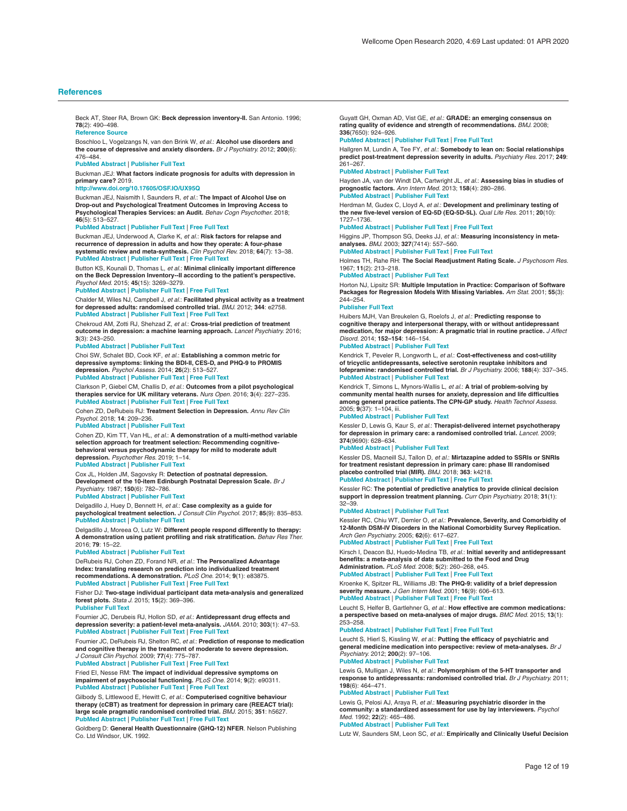<span id="page-11-0"></span>Beck AT, Steer RA, Brown GK: **Beck depression inventory-II.** San Antonio. 1996; **78**(2): 490–498.

**[Reference](https://www.brown.edu/academics/public-health/research/mens-health-initiative/bdiii) Source**

Boschloo L, Vogelzangs N, van den Brink W, *et al.: A*lc**ohol use disorders and**<br>**the course of depressive and anxiety disorders.** *Br J Psychiatry.* 2012; **200**(6): 476–484.

#### **PubMed [Abstract](http://www.ncbi.nlm.nih.gov/pubmed/22322459)** | **[Publisher](http://dx.doi.org/10.1192/bjp.bp.111.097550) Full Text**

Buckman JEJ: **What factors indicate prognosis for adults with depression in primary care?** 2019.

#### **<http://www.doi.org/10.17605/OSF.IO/UX95Q>**

Buckman JEJ, Naismith I, Saunders R, *et al.*: **The Impact of Alcohol Use on Drop-out and Psychological Treatment Outcomes in Improving Access to Psychological Therapies Services: an Audit.** *Behav Cogn Psychother.* 2018; **46**(5): 513–527.

#### **PubMed [Abstract](http://www.ncbi.nlm.nih.gov/pubmed/29480157)** | **[Publisher](http://dx.doi.org/10.1017/S1352465817000819) Full Text** | **[Free](http://www.ncbi.nlm.nih.gov/pmc/articles/6533638) Full Text**

Buckman JEJ, Underwood A, Clarke K, *et al.*: **Risk factors for relapse and recurrence of depression in adults and how they operate: A four-phase systematic review and meta-synthesis.** *Clin Psychol Rev.* 2018; **64**(7): 13–38. **PubMed [Abstract](http://www.ncbi.nlm.nih.gov/pubmed/30075313)** | **[Publisher](http://dx.doi.org/10.1016/j.cpr.2018.07.005) Full Text** | **[Free](http://www.ncbi.nlm.nih.gov/pmc/articles/6237833) Full Text**

Button KS, Kounali D, Thomas L, *et al.*: **Minimal clinically important difference on the Beck Depression Inventory--II according to the patient's perspective.** *Psychol Med.* 2015; **45**(15): 3269–3279.

**PubMed [Abstract](http://www.ncbi.nlm.nih.gov/pubmed/26165748)** | **[Publisher](http://dx.doi.org/10.1017/S0033291715001270) Full Text** | **[Free](http://www.ncbi.nlm.nih.gov/pmc/articles/4611356) Full Text**

Chalder M, Wiles NJ, Campbell J, *et al.*: **Facilitated physical activity as a treatment for depressed adults: randomised controlled trial.** *BMJ.* 2012; **344**: e2758. **PubMed [Abstract](http://www.ncbi.nlm.nih.gov/pubmed/22674921)** | **[Publisher](http://dx.doi.org/10.1136/bmj.e2758) Full Text** | **[Free](http://www.ncbi.nlm.nih.gov/pmc/articles/3368484) Full Text**

Chekroud AM, Zotti RJ, Shehzad Z, *et al.*: **Cross-trial prediction of treatment outcome in depression: a machine learning approach.** *Lancet Psychiatry.* 2016; **3**(3): 243–250.

#### **PubMed [Abstract](http://www.ncbi.nlm.nih.gov/pubmed/26803397)** | **[Publisher](http://dx.doi.org/10.1016/S2215-0366(15)00471-X) Full Text**

Choi SW, Schalet BD, Cook KF, *et al.*: Establishing a common metric for<br>depressive symptoms: linking the BDI-II, CES-D, and PHQ-9 to PROMIS **depression.** *Psychol Assess.* 2014; **26**(2): 513–527.

#### **PubMed [Abstract](http://www.ncbi.nlm.nih.gov/pubmed/24548149)** | **[Publisher](http://dx.doi.org/10.1037/a0035768) Full Text** | **[Free](http://www.ncbi.nlm.nih.gov/pmc/articles/5515387) Full Text**

Clarkson P, Giebel CM, Challis D, *et al.*: **Outcomes from a pilot psychological therapies service for UK military veterans.** *Nurs Open.* 2016; **3**(4): 227–235. **PubMed [Abstract](http://www.ncbi.nlm.nih.gov/pubmed/27708834)** | **[Publisher](http://dx.doi.org/10.1002/nop2.57) Full Text** | **[Free](http://www.ncbi.nlm.nih.gov/pmc/articles/5050547) Full Text**

Cohen ZD, DeRubeis RJ: **Treatment Selection in Depression.** *Annu Rev Clin Psychol.* 2018; **14**: 209–236.

#### **PubMed [Abstract](http://www.ncbi.nlm.nih.gov/pubmed/29494258)** | **[Publisher](http://dx.doi.org/10.1146/annurev-clinpsy-050817-084746) Full Text**

Cohen ZD, Kim TT, Van HL, *et al.*: **A demonstration of a multi-method variable selection approach for treatment selection: Recommending cognitivebehavioral versus psychodynamic therapy for mild to moderate adult depression.** *Psychother Res.* 2019; 1–14.

### **PubMed [Abstract](http://www.ncbi.nlm.nih.gov/pubmed/30632922)** | **[Publisher](http://dx.doi.org/10.1080/10503307.2018.1563312) Full Text**

Cox JL, Holden JM, Sagovsky R: **Detection of postnatal depression. Development of the 10-item Edinburgh Postnatal Depression Scale.** *Br J Psychiatry.* 1987; **150**(6): 782–786.

#### **PubMed [Abstract](http://www.ncbi.nlm.nih.gov/pubmed/3651732)** | **[Publisher](http://dx.doi.org/10.1192/bjp.150.6.782) Full Text**

Delgadillo J, Huey D, Bennett H, *et al.*: **Case complexity as a guide for psychological treatment selection.** *J Consult Clin Psychol.* 2017; **85**(9): 835–853. **PubMed [Abstract](http://www.ncbi.nlm.nih.gov/pubmed/28857592)** | **[Publisher](http://dx.doi.org/10.1037/ccp0000231) Full Text**

Delgadillo J, Moreea O, Lutz W: **Different people respond differently to therapy: A demonstration using patient profiling and risk stratification.** *Behav Res Ther.* 2016; **79**: 15–22.

#### **PubMed [Abstract](http://www.ncbi.nlm.nih.gov/pubmed/26937855)** | **[Publisher](http://dx.doi.org/10.1016/j.brat.2016.02.003) Full Text**

DeRubeis RJ, Cohen ZD, Forand NR, *et al.*: **The Personalized Advantage** Index: translating research on prediction into individualized treatment<br>recommendations. A demonstration. *PLoS One.* 2014; 9(1): e83875. **PubMed [Abstract](http://www.ncbi.nlm.nih.gov/pubmed/24416178)** | **[Publisher](http://dx.doi.org/10.1371/journal.pone.0083875) Full Text** | **[Free](http://www.ncbi.nlm.nih.gov/pmc/articles/3885521) Full Text**

Fisher DJ: **Two-stage individual participant data meta-analysis and generalized forest plots.** *Stata J.* 2015; **15**(2): 369–396. **[Publisher](http://dx.doi.org/10.1177/1536867X1501500203) Full Text**

Fournier JC, Derubeis RJ, Hollon SD, *et al.*: **Antidepressant drug effects and**<br>**depression severity: a patient-level meta-analysis.** JAMA. 2010; 3**03**(1): 47–53. **PubMed [Abstract](http://www.ncbi.nlm.nih.gov/pubmed/20051569)** | **[Publisher](http://dx.doi.org/10.1001/jama.2009.1943) Full Text** | **[Free](http://www.ncbi.nlm.nih.gov/pmc/articles/3712503) Full Text**

Fournier JC, DeRubeis RJ, Shelton RC, *et al.*: **Prediction of response to medication and cognitive therapy in the treatment of moderate to severe depression.** *J Consult Clin Psychol.* 2009; **77**(4): 775–787.

**PubMed [Abstract](http://www.ncbi.nlm.nih.gov/pubmed/19634969)** | **[Publisher](http://dx.doi.org/10.1037/a0015401) Full Text** | **[Free](http://www.ncbi.nlm.nih.gov/pmc/articles/2810269) Full Text**

Fried EI, Nesse RM: **The impact of individual depressive symptoms on impairment of psychosocial functioning.** *PLoS One.* 2014; **9**(2): e90311. **PubMed [Abstract](http://www.ncbi.nlm.nih.gov/pubmed/24587318)** | **[Publisher](http://dx.doi.org/10.1371/journal.pone.0090311) Full Text** | **[Free](http://www.ncbi.nlm.nih.gov/pmc/articles/3938686) Full Text**

Gilbody S, Littlewood E, Hewitt C, *et al.*: **Computerised cognitive behaviour** therapy (cCBT) as treatment for depression in primary care (REEACT trial):<br>large scale pragmatic randomised controlled trial. *BMJ.* 2015; 351: h5627.<br><mark>PubMed [Abstract](http://www.ncbi.nlm.nih.gov/pubmed/26559241) | [Publisher](http://dx.doi.org/10.1136/bmj.h5627) Full Text | [Free](http://www.ncbi.nlm.nih.gov/pmc/articles/4641883) Full Text</mark>

Goldberg D: **General Health Questionnaire (GHQ-12) NFER**. Nelson Publishing Co. Ltd Windsor, UK. 1992.

Guyatt GH, Oxman AD, Vist GE, *et al.*: **GRADE: an emerging consensus on rating quality of evidence and strength of recommendations.** *BMJ.* 2008; **336**(7650): 924–926.

#### **PubMed [Abstract](http://www.ncbi.nlm.nih.gov/pubmed/18436948)** | **[Publisher](http://dx.doi.org/10.1136/bmj.39489.470347.AD) Full Text** | **[Free](http://www.ncbi.nlm.nih.gov/pmc/articles/2335261) Full Text**

Hallgren M, Lundin A, Tee FY, *et al.*: **Somebody to lean on: Social relationships predict post-treatment depression severity in adults.** *Psychiatry Res.* 2017; **249**: 261–267.

#### **PubMed [Abstract](http://www.ncbi.nlm.nih.gov/pubmed/28131948)** | **[Publisher](http://dx.doi.org/10.1016/j.psychres.2016.12.060) Full Text**

Hayden JA, van der Windt DA, Cartwright JL, *et al.*: **Assessing bias in studies of prognostic factors.** *Ann Intern Med.* 2013; **158**(4): 280–286. **PubMed [Abstract](http://www.ncbi.nlm.nih.gov/pubmed/23420236)** | **[Publisher](http://dx.doi.org/10.7326/0003-4819-158-4-201302190-00009) Full Text**

Herdman M, Gudex C, Lloyd A, *et al.*: **Development and preliminary testing of the new five-level version of EQ-5D (EQ-5D-5L).** *Qual Life Res.* 2011; **20**(10): 1727–1736.

#### **PubMed [Abstract](http://www.ncbi.nlm.nih.gov/pubmed/21479777)** | **[Publisher](http://dx.doi.org/10.1007/s11136-011-9903-x) Full Text** | **[Free](http://www.ncbi.nlm.nih.gov/pmc/articles/3220807) Full Text**

Higgins JP, Thompson SG, Deeks JJ, *et al.*: **Measuring inconsistency in metaanalyses.** *BMJ.* 2003; **327**(7414): 557–560.

**PubMed [Abstract](http://www.ncbi.nlm.nih.gov/pubmed/12958120)** | **[Publisher](http://dx.doi.org/10.1136/bmj.327.7414.557) Full Text** | **[Free](http://www.ncbi.nlm.nih.gov/pmc/articles/192859) Full Text**

Holmes TH, Rahe RH: **The Social Readjustment Rating Scale.** *J Psychosom Res.* 1967; **11**(2): 213–218.

#### **PubMed [Abstract](http://www.ncbi.nlm.nih.gov/pubmed/6059863)** | **[Publisher](http://dx.doi.org/10.1016/0022-3999(67)90010-4) Full Text**

Horton NJ, Lipsitz SR: **Multiple Imputation in Practice: Comparison of Software Packages for Regression Models With Missing Variables.** *Am Stat.* 2001; **55**(3): 244–254.

#### **[Publisher](http://dx.doi.org/10.1198/000313001317098266) Full Text**

Huibers MJH, Van Breukelen G, Roelofs J, *et al.*: **Predicting response to cognitive therapy and interpersonal therapy, with or without antidepressant medication, for major depression: A pragmatic trial in routine practice.** *J Affect Disord.* 2014; **152–154**: 146–154.

### **PubMed [Abstract](http://www.ncbi.nlm.nih.gov/pubmed/24060588)** | **[Publisher](http://dx.doi.org/10.1016/j.jad.2013.08.027) Full Text**

Kendrick T, Peveler R, Longworth L, et al.: Cost-effectiveness and cost-utility<br>of tricyclic antidepressants, selective serotonin reuptake inhibitors and **lofepramine: randomised controlled trial.** *Br J Psychiatry.* 2006; **188**(4): 337–345. **PubMed [Abstract](http://www.ncbi.nlm.nih.gov/pubmed/16582060)** | **[Publisher](http://dx.doi.org/10.1192/bjp.188.4.337) Full Text**

Kendrick T, Simons L, Mynors-Wallis L, *et al.*: **A trial of problem-solving by community mental health nurses for anxiety, depression and life difficulties among general practice patients.The CPN-GP study.** *Health Technol Assess.* 2005; **9**(37): 1–104, iii.

#### **PubMed [Abstract](http://www.ncbi.nlm.nih.gov/pubmed/16153354)** | **[Publisher](http://dx.doi.org/10.3310/hta9370) Full Text**

Kessler D, Lewis G, Kaur S, *et al.*: **Therapist-delivered internet psychotherapy for depression in primary care: a randomised controlled trial.** *Lancet.* 2009; **374**(9690): 628–634.

#### **PubMed [Abstract](http://www.ncbi.nlm.nih.gov/pubmed/19700005)** | **[Publisher](http://dx.doi.org/10.1016/S0140-6736(09)61257-5) Full Text**

Kessler DS, Macneill SJ, Tallon D, *et al.*: **Mirtazapine added to SSRIs or SNRIs for treatment resistant depression in primary care: phase III randomised placebo controlled trial (MIR).** *BMJ.* 2018; **363**: k4218. **PubMed [Abstract](http://www.ncbi.nlm.nih.gov/pubmed/30381374)** | **[Publisher](http://dx.doi.org/10.1136/bmj.k4218) Full Text** | **[Free](http://www.ncbi.nlm.nih.gov/pmc/articles/6207929) Full Text**

Kessler RC: **The potential of predictive analytics to provide clinical decision support in depression treatment planning.** *Curr Opin Psychiatry.* 2018; **31**(1): 32–39.

#### **PubMed [Abstract](http://www.ncbi.nlm.nih.gov/pubmed/29076894)** | **[Publisher](http://dx.doi.org/10.1097/YCO.0000000000000377) Full Text**

Kessler RC, Chiu WT, Demler O, *et al.*: Prevalence, Severity, and Comorbidity of<br>12-Month DSM-IV Disorders in the National Comorbidity Survey Replication. *Arch Gen Psychiatry.* 2005; **62**(6): 617–627.

#### **PubMed [Abstract](http://www.ncbi.nlm.nih.gov/pubmed/15939839)** | **[Publisher](http://dx.doi.org/10.1001/archpsyc.62.6.617) Full Text** | **[Free](http://www.ncbi.nlm.nih.gov/pmc/articles/2847357) Full Text**

Kirsch I, Deacon BJ, Huedo-Medina TB, *et al.*: **Initial severity and antidepressant benefits: a meta-analysis of data submitted to the Food and Drug Administration.** *PLoS Med.* 2008; **5**(2): 260–268, e45.

#### **PubMed [Abstract](http://www.ncbi.nlm.nih.gov/pubmed/18303940)** | **[Publisher](http://dx.doi.org/10.1371/journal.pmed.0050045) Full Text** | **[Free](http://www.ncbi.nlm.nih.gov/pmc/articles/2253608) Full Text**

Kroenke K, Spitzer RL, Williams JB: **The PHQ-9: validity of a brief depression severity measure.** *J Gen Intern Med.* 2001; **16**(9): 606–613. **PubMed [Abstract](http://www.ncbi.nlm.nih.gov/pubmed/11556941)** | **[Publisher](http://dx.doi.org/10.1046/j.1525-1497.2001.016009606.x) Full Text** | **[Free](http://www.ncbi.nlm.nih.gov/pmc/articles/1495268) Full Text**

Leucht S, Helfer B, Gartlehner G, *et al.*: **How effective are common medications: a perspective based on meta-analyses of major drugs.** *BMC Med.* 2015; **13**(1): 253–258.

#### **PubMed [Abstract](http://www.ncbi.nlm.nih.gov/pubmed/26431961)** | **[Publisher](http://dx.doi.org/10.1186/s12916-015-0494-1) Full Text** | **[Free](http://www.ncbi.nlm.nih.gov/pmc/articles/4592565) Full Text**

Leucht S, Hierl S, Kissling W, *et al.*: **Putting the efficacy of psychiatric and general medicine medication into perspective: review of meta-analyses.** *Br J Psychiatry.* 2012; **200**(2): 97–106.

#### **PubMed [Abstract](http://www.ncbi.nlm.nih.gov/pubmed/22297588)** | **[Publisher](http://dx.doi.org/10.1192/bjp.bp.111.096594) Full Text**

Lewis G, Mulligan J, Wiles N, *et al.*: **Polymorphism of the 5-HT transporter and response to antidepressants: randomised controlled trial.** *Br J Psychiatry.* 2011; **198**(6): 464–471. **PubMed [Abstract](http://www.ncbi.nlm.nih.gov/pubmed/21263010)** | **[Publisher](http://dx.doi.org/10.1192/bjp.bp.110.082727) Full Text**

Lewis G, Pelosi AJ, Araya R, *et al.*: **Measuring psychiatric disorder in the community: a standardized assessment for use by lay interviewers.** *Psychol Med.* 1992; **22**(2): 465–486. **PubMed [Abstract](http://www.ncbi.nlm.nih.gov/pubmed/1615114)** | **[Publisher](http://dx.doi.org/10.1017/S0033291700030415) Full Text**

Lutz W, Saunders SM, Leon SC, *et al.*: **Empirically and Clinically Useful Decision**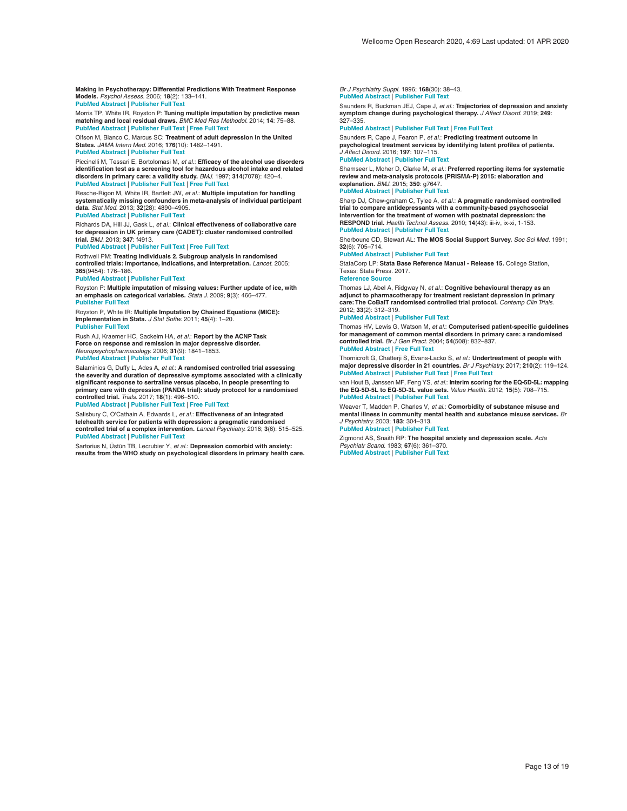<span id="page-12-0"></span>**Making in Psychotherapy: Differential Predictions With Treatment Response Models.** *Psychol Assess.* 2006; **18**(2): 133–141. **PubMed [Abstract](http://www.ncbi.nlm.nih.gov/pubmed/16768589)** | **[Publisher](http://dx.doi.org/10.1037/1040-3590.18.2.133) Full Text**

Morris TP, White IR, Royston P: **Tuning multiple imputation by predictive mean** matching and local residual draws. *BMC Med Res Methodol.* 2014; 14: 75–88.<br>PubMed [Abstract](http://www.ncbi.nlm.nih.gov/pubmed/24903709) | [Publisher](http://dx.doi.org/10.1186/1471-2288-14-75) Full Text | [Free](http://www.ncbi.nlm.nih.gov/pmc/articles/4051964) Full Text

Olfson M, Blanco C, Marcus SC: **Treatment of adult depression in the United States.** *JAMA Intern Med.* 2016; **176**(10): 1482–1491. **PubMed [Abstract](http://www.ncbi.nlm.nih.gov/pubmed/27571438)** | **[Publisher](http://dx.doi.org/10.1001/jamainternmed.2016.5057) Full Text**

Piccinelli M, Tessari E, Bortolomasi M, *et al.*: **Efficacy of the alcohol use disorders identification test as a screening tool for hazardous alcohol intake and related disorders in primary care: a validity study.** *BMJ.* 1997; **314**(7078): 420–4. **PubMed [Abstract](http://www.ncbi.nlm.nih.gov/pubmed/9040389)** | **[Publisher](http://dx.doi.org/10.1136/bmj.314.7078.420) Full Text** | **[Free](http://www.ncbi.nlm.nih.gov/pmc/articles/2125904) Full Text**

Resche-Rigon M, White IR, Bartlett JW, *et al.*: **Multiple imputation for handling**<br>**systematically missing confounders in meta-analysis of individual participant data.** *Stat Med.* 2013; **32**(28): 4890–4905. **PubMed [Abstract](http://www.ncbi.nlm.nih.gov/pubmed/23857554)** | **[Publisher](http://dx.doi.org/10.1002/sim.5894) Full Text**

Richards DA, Hill JJ, Gask L, *et al.*: **Clinical effectiveness of collaborative care for depression in UK primary care (CADET): cluster randomised controlled trial.** *BMJ.* 2013; **347**: f4913.

**PubMed [Abstract](http://www.ncbi.nlm.nih.gov/pubmed/23959152)** | **[Publisher](http://dx.doi.org/10.1136/bmj.f4913) Full Text** | **[Free](http://www.ncbi.nlm.nih.gov/pmc/articles/3746956) Full Text**

Rothwell PM: **Treating individuals 2. Subgroup analysis in randomised controlled trials: importance, indications, and interpretation.** *Lancet.* 2005; **365**(9454): 176–186.

#### **PubMed [Abstract](http://www.ncbi.nlm.nih.gov/pubmed/15639301)** | **[Publisher](http://dx.doi.org/10.1016/S0140-6736(05)17709-5) Full Text**

Royston P: Multiple imputation of missing values: Further update of ice, with<br>an emphasis on categorical variables. *Stata J.* 2009; 9(3): 466–477. **[Publisher](http://dx.doi.org/10.1177/1536867X0900900308) Full Text**

Royston P, White IR: **Multiple Imputation by Chained Equations (MICE): Implementation in Stata.** *J Stat Softw.* 2011; **45**(4): 1–20. **[Publisher](http://dx.doi.org/10.18637/jss.v045.i04) Full Text**

Rush AJ, Kraemer HC, Sackeim HA, *et al.*: **Report by the ACNP Task Force on response and remission in major depressive disorder.** *Neuropsychopharmacology.* 2006; **31**(9): 1841–1853. **PubMed [Abstract](http://www.ncbi.nlm.nih.gov/pubmed/16794566)** | **[Publisher](http://dx.doi.org/10.1038/sj.npp.1301131) Full Text**

Salaminios G, Duffy L, Ades A, *et al.*: **A randomised controlled trial assessing the severity and duration of depressive symptoms associated with a clinically significant response to sertraline versus placebo, in people presenting to primary care with depression (PANDA trial): study protocol for a randomised controlled trial.** *Trials.* 2017; **18**(1): 496–510.

**PubMed [Abstract](http://www.ncbi.nlm.nih.gov/pubmed/29065916)** | **[Publisher](http://dx.doi.org/10.1186/s13063-017-2253-4) Full Text** | **[Free](http://www.ncbi.nlm.nih.gov/pmc/articles/5655852) Full Text**

Salisbury C, O'Cathain A, Edwards L, *et al.*: **Effectiveness of an integrated telehealth service for patients with depression: a pragmatic randomised controlled trial of a complex intervention.** *Lancet Psychiatry.* 2016; **3**(6): 515–525. **PubMed [Abstract](http://www.ncbi.nlm.nih.gov/pubmed/27132075)** | **[Publisher](http://dx.doi.org/10.1016/S2215-0366(16)00083-3) Full Text**

Sartorius N, Üstün TB, Lecrubier Y, *et al.*: **Depression comorbid with anxiety: results from the WHO study on psychological disorders in primary health care.** *Br J Psychiatry Suppl.* 1996; **168**(30): 38–43. **PubMed [Abstract](http://www.ncbi.nlm.nih.gov/pubmed/8864147)** | **[Publisher](http://dx.doi.org/10.1192/S0007125000298395) Full Text**

Saunders R, Buckman JEJ, Cape J, *et al.*: **Trajectories of depression and anxiety symptom change during psychological therapy.** *J Affect Disord.* 2019; **249**: 327–335.

**PubMed [Abstract](http://www.ncbi.nlm.nih.gov/pubmed/30802698)** | **[Publisher](http://dx.doi.org/10.1016/j.jad.2019.02.043) Full Text** | **[Free](http://www.ncbi.nlm.nih.gov/pmc/articles/6428692) Full Text**

Saunders R, Cape J, Fearon P, *et al.*: **Predicting treatment outcome in psychological treatment services by identifying latent profiles of patients.** *J Affect Disord.* 2016; **197**: 107–115.

#### **PubMed [Abstract](http://www.ncbi.nlm.nih.gov/pubmed/26991365)** | **[Publisher](http://dx.doi.org/10.1016/j.jad.2016.03.011) Full Text**

Shamseer L, Moher D, Clarke M, *et al.*: **Preferred reporting items for systematic review and meta-analysis protocols (PRISMA-P) 2015: elaboration and explanation.** *BMJ.* 2015; **350**: g7647.

#### **PubMed [Abstract](http://www.ncbi.nlm.nih.gov/pubmed/25555855)** | **[Publisher](http://dx.doi.org/10.1136/bmj.g7647) Full Text**

Sharp DJ, Chew-graham C, Tylee A, *et al.*: **A pragmatic randomised controlled trial to compare antidepressants with a community-based psychosocial intervention for the treatment of women with postnatal depression: the RESPOND trial.** *Health Technol Assess.* 2010; **14**(43): iii-iv, ix-xi, 1-153. **PubMed [Abstract](http://www.ncbi.nlm.nih.gov/pubmed/20860888)** | **[Publisher](http://dx.doi.org/10.3310/hta14430) Full Text**

Sherboune CD, Stewart AL: **The MOS Social Support Survey.** *Soc Sci Med.* 1991; **32**(6): 705–714.

**PubMed [Abstract](http://www.ncbi.nlm.nih.gov/pubmed/2035047)** | **[Publisher](http://dx.doi.org/10.1016/0277-9536(91)90150-B) Full Text**

StataCorp LP: **Stata Base Reference Manual - Release 15.** College Station, Texas: Stata Press. 2017.

**[Reference](http://www.stata.com/manuals13/r.pdf) Source**

Thomas LJ, Abel A, Ridgway N, *et al.*: **Cognitive behavioural therapy as an**<br>adjunct to pharmacotherapy for treatment resistant depression in primary **care:The CoBalT randomised controlled trial protocol.** *Contemp Clin Trials.* 2012; **33**(2): 312–319.

#### **PubMed [Abstract](http://www.ncbi.nlm.nih.gov/pubmed/22101205)** | **[Publisher](http://dx.doi.org/10.1016/j.cct.2011.10.016) Full Text**

Thomas HV, Lewis G, Watson M, *et al.*: **Computerised patient-specific guidelines for management of common mental disorders in primary care: a randomised controlled trial.** *Br J Gen Pract.* 2004; **54**(508): 832–837. **PubMed [Abstract](http://www.ncbi.nlm.nih.gov/pubmed/15527609)** | **[Free](http://www.ncbi.nlm.nih.gov/pmc/articles/1324916) Full Text**

Thornicroft G, Chatterji S, Evans-Lacko S, *et al.*: **Undertreatment of people with**<br>**major depressive disorder in 21 countries.** Br J Psychiatry. 2017; 210(2): 119–124. **PubMed [Abstract](http://www.ncbi.nlm.nih.gov/pubmed/27908899)** | **[Publisher](http://dx.doi.org/10.1192/bjp.bp.116.188078) Full Text** | **[Free](http://www.ncbi.nlm.nih.gov/pmc/articles/5288082) Full Text**

van Hout B, Janssen MF, Feng YS, *et al.*: **Interim scoring for the EQ-5D-5L: mapping the EQ-5D-5L to EQ-5D-3L value sets.** *Value Health.* 2012; **15**(5): 708–715. **PubMed [Abstract](http://www.ncbi.nlm.nih.gov/pubmed/22867780)** | **[Publisher](http://dx.doi.org/10.1016/j.jval.2012.02.008) Full Text**

Weaver T, Madden P, Charles V, *et al.*: **Comorbidity of substance misuse and mental illness in community mental health and substance misuse services.** *Br J Psychiatry.* 2003; **183**: 304–313. **PubMed [Abstract](http://www.ncbi.nlm.nih.gov/pubmed/14519608)** | **[Publisher](http://dx.doi.org/10.1192/bjp.183.4.304) Full Text**

Zigmond AS, Snaith RP: **The hospital anxiety and depression scale.** *Acta Psychiatr Scand.* 1983; **67**(6): 361–370. **PubMed [Abstract](http://www.ncbi.nlm.nih.gov/pubmed/6880820)** | **[Publisher](http://dx.doi.org/10.1111/j.1600-0447.1983.tb09716.x) Full Text**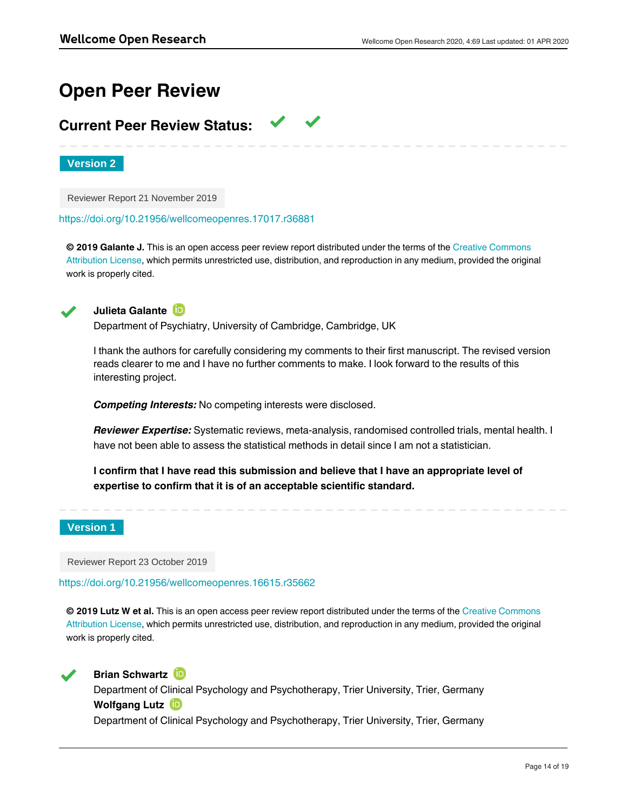# **Open Peer Review**

# **Current Peer Review Status:**

**Version 2**

Reviewer Report 21 November 2019

<https://doi.org/10.21956/wellcomeopenres.17017.r36881>

**© 2019 Galante J.** This is an open access peer review report distributed under the terms of the [Creative Commons](https://creativecommons.org/licenses/by/4.0/) [Attribution License](https://creativecommons.org/licenses/by/4.0/), which permits unrestricted use, distribution, and reproduction in any medium, provided the original work is properly cited.



**Julieta Galante**

Department of Psychiatry, University of Cambridge, Cambridge, UK

I thank the authors for carefully considering my comments to their first manuscript. The revised version reads clearer to me and I have no further comments to make. I look forward to the results of this interesting project.

*Competing Interests:* No competing interests were disclosed.

*Reviewer Expertise:* Systematic reviews, meta-analysis, randomised controlled trials, mental health. I have not been able to assess the statistical methods in detail since I am not a statistician.

**I confirm that I have read this submission and believe that I have an appropriate level of expertise to confirm that it is of an acceptable scientific standard.**

# **Version 1**

Reviewer Report 23 October 2019

<https://doi.org/10.21956/wellcomeopenres.16615.r35662>

**© 2019 Lutz W et al.** This is an open access peer review report distributed under the terms of the [Creative Commons](https://creativecommons.org/licenses/by/4.0/) [Attribution License](https://creativecommons.org/licenses/by/4.0/), which permits unrestricted use, distribution, and reproduction in any medium, provided the original work is properly cited.



**Brian Schwartz ID** 

Department of Clinical Psychology and Psychotherapy, Trier University, Trier, Germany **Wolfgang Lutz**

Department of Clinical Psychology and Psychotherapy, Trier University, Trier, Germany

This manuscript proposes a set of meta-analyses of individual patient data examining prognostic factors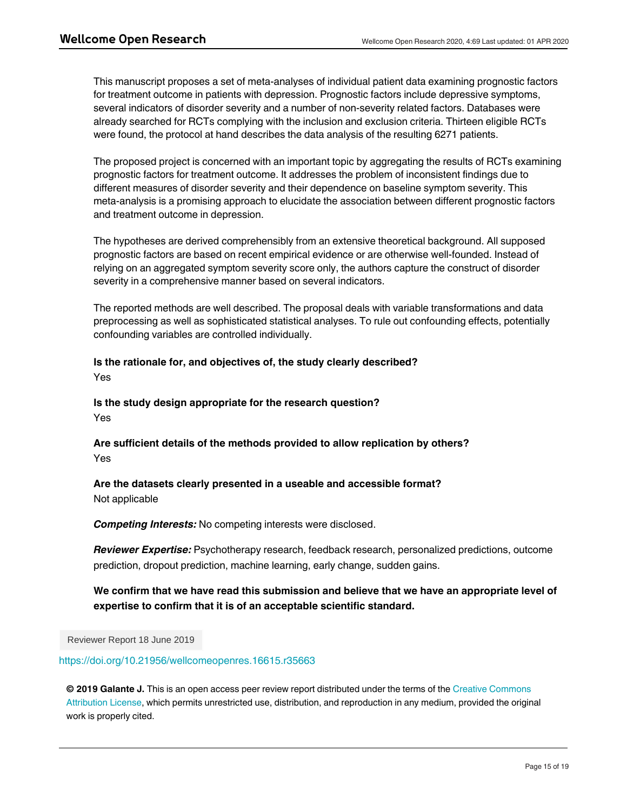This manuscript proposes a set of meta-analyses of individual patient data examining prognostic factors for treatment outcome in patients with depression. Prognostic factors include depressive symptoms, several indicators of disorder severity and a number of non-severity related factors. Databases were already searched for RCTs complying with the inclusion and exclusion criteria. Thirteen eligible RCTs were found, the protocol at hand describes the data analysis of the resulting 6271 patients.

The proposed project is concerned with an important topic by aggregating the results of RCTs examining prognostic factors for treatment outcome. It addresses the problem of inconsistent findings due to different measures of disorder severity and their dependence on baseline symptom severity. This meta-analysis is a promising approach to elucidate the association between different prognostic factors and treatment outcome in depression.

The hypotheses are derived comprehensibly from an extensive theoretical background. All supposed prognostic factors are based on recent empirical evidence or are otherwise well-founded. Instead of relying on an aggregated symptom severity score only, the authors capture the construct of disorder severity in a comprehensive manner based on several indicators.

The reported methods are well described. The proposal deals with variable transformations and data preprocessing as well as sophisticated statistical analyses. To rule out confounding effects, potentially confounding variables are controlled individually.

# **Is the rationale for, and objectives of, the study clearly described?**

Yes

**Is the study design appropriate for the research question?** Yes

**Are sufficient details of the methods provided to allow replication by others?** Yes

# **Are the datasets clearly presented in a useable and accessible format?** Not applicable

*Competing Interests:* No competing interests were disclosed.

*Reviewer Expertise:* Psychotherapy research, feedback research, personalized predictions, outcome prediction, dropout prediction, machine learning, early change, sudden gains.

# **We confirm that we have read this submission and believe that we have an appropriate level of expertise to confirm that it is of an acceptable scientific standard.**

Reviewer Report 18 June 2019

<https://doi.org/10.21956/wellcomeopenres.16615.r35663>

**© 2019 Galante J.** This is an open access peer review report distributed under the terms of the [Creative Commons](https://creativecommons.org/licenses/by/4.0/) [Attribution License](https://creativecommons.org/licenses/by/4.0/), which permits unrestricted use, distribution, and reproduction in any medium, provided the original work is properly cited.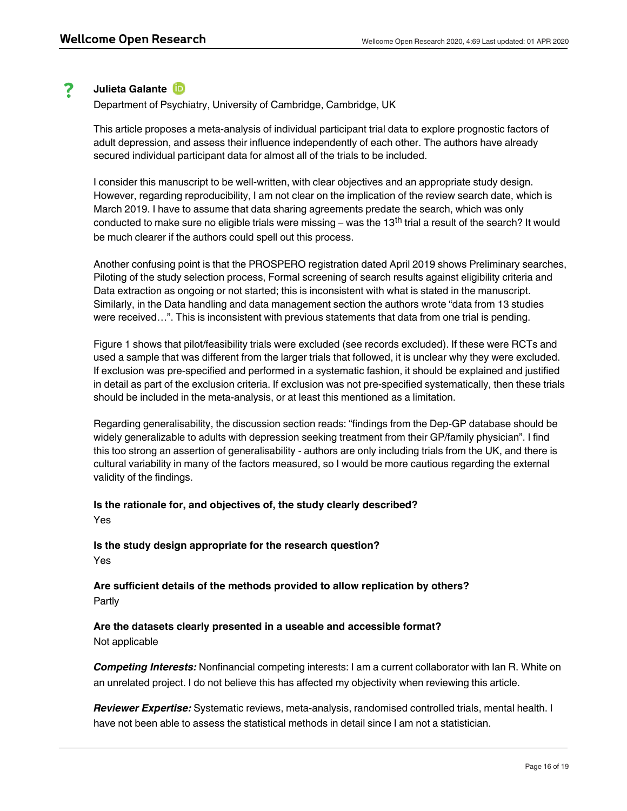#### ? **Julieta Galante**

Department of Psychiatry, University of Cambridge, Cambridge, UK

This article proposes a meta-analysis of individual participant trial data to explore prognostic factors of adult depression, and assess their influence independently of each other. The authors have already secured individual participant data for almost all of the trials to be included.

I consider this manuscript to be well-written, with clear objectives and an appropriate study design. However, regarding reproducibility, I am not clear on the implication of the review search date, which is March 2019. I have to assume that data sharing agreements predate the search, which was only conducted to make sure no eligible trials were missing – was the 13<sup>th</sup> trial a result of the search? It would be much clearer if the authors could spell out this process.

Another confusing point is that the PROSPERO registration dated April 2019 shows Preliminary searches, Piloting of the study selection process, Formal screening of search results against eligibility criteria and Data extraction as ongoing or not started; this is inconsistent with what is stated in the manuscript. Similarly, in the Data handling and data management section the authors wrote "data from 13 studies were received…". This is inconsistent with previous statements that data from one trial is pending.

Figure 1 shows that pilot/feasibility trials were excluded (see records excluded). If these were RCTs and used a sample that was different from the larger trials that followed, it is unclear why they were excluded. If exclusion was pre-specified and performed in a systematic fashion, it should be explained and justified in detail as part of the exclusion criteria. If exclusion was not pre-specified systematically, then these trials should be included in the meta-analysis, or at least this mentioned as a limitation.

Regarding generalisability, the discussion section reads: "findings from the Dep-GP database should be widely generalizable to adults with depression seeking treatment from their GP/family physician". I find this too strong an assertion of generalisability - authors are only including trials from the UK, and there is cultural variability in many of the factors measured, so I would be more cautious regarding the external validity of the findings.

# **Is the rationale for, and objectives of, the study clearly described?** Yes

**Is the study design appropriate for the research question?** Yes

**Are sufficient details of the methods provided to allow replication by others?** Partly

**Are the datasets clearly presented in a useable and accessible format?** Not applicable

*Competing Interests:* Nonfinancial competing interests: I am a current collaborator with Ian R. White on an unrelated project. I do not believe this has affected my objectivity when reviewing this article.

*Reviewer Expertise:* Systematic reviews, meta-analysis, randomised controlled trials, mental health. I have not been able to assess the statistical methods in detail since I am not a statistician.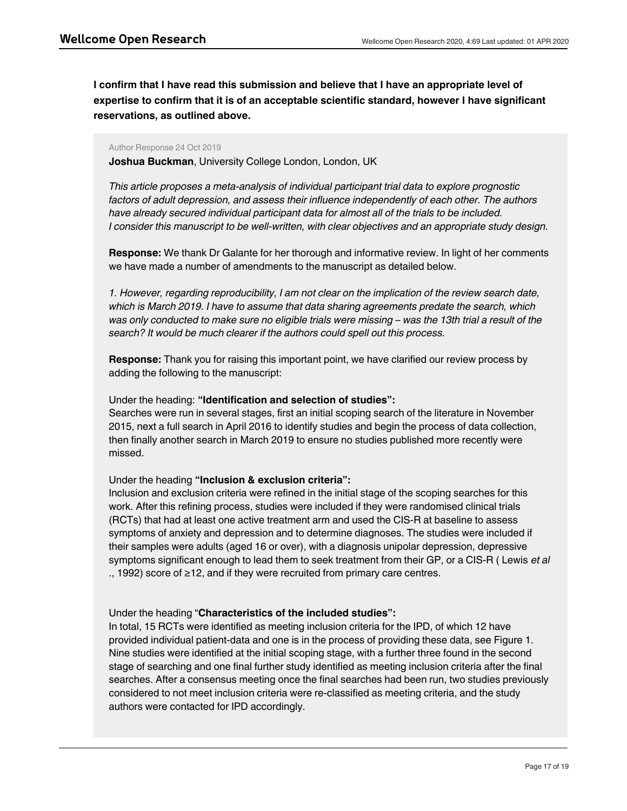**I confirm that I have read this submission and believe that I have an appropriate level of expertise to confirm that it is of an acceptable scientific standard, however I have significant reservations, as outlined above.**

## Author Response 24 Oct 2019

**Joshua Buckman**, University College London, London, UK

*This article proposes a meta-analysis of individual participant trial data to explore prognostic factors of adult depression, and assess their influence independently of each other. The authors have already secured individual participant data for almost all of the trials to be included. I consider this manuscript to be well-written, with clear objectives and an appropriate study design.*

**Response:** We thank Dr Galante for her thorough and informative review. In light of her comments we have made a number of amendments to the manuscript as detailed below.

*1. However, regarding reproducibility, I am not clear on the implication of the review search date, which is March 2019. I have to assume that data sharing agreements predate the search, which was only conducted to make sure no eligible trials were missing – was the 13th trial a result of the search? It would be much clearer if the authors could spell out this process.*

**Response:** Thank you for raising this important point, we have clarified our review process by adding the following to the manuscript:

# Under the heading: **"Identification and selection of studies":**

Searches were run in several stages, first an initial scoping search of the literature in November 2015, next a full search in April 2016 to identify studies and begin the process of data collection, then finally another search in March 2019 to ensure no studies published more recently were missed.

# Under the heading **"Inclusion & exclusion criteria":**

Inclusion and exclusion criteria were refined in the initial stage of the scoping searches for this work. After this refining process, studies were included if they were randomised clinical trials (RCTs) that had at least one active treatment arm and used the CIS-R at baseline to assess symptoms of anxiety and depression and to determine diagnoses. The studies were included if their samples were adults (aged 16 or over), with a diagnosis unipolar depression, depressive symptoms significant enough to lead them to seek treatment from their GP, or a CIS-R ( Lewis *et al* ., 1992) score of ≥12, and if they were recruited from primary care centres.

# Under the heading "**Characteristics of the included studies":**

In total, 15 RCTs were identified as meeting inclusion criteria for the IPD, of which 12 have provided individual patient-data and one is in the process of providing these data, see Figure 1. Nine studies were identified at the initial scoping stage, with a further three found in the second stage of searching and one final further study identified as meeting inclusion criteria after the final searches. After a consensus meeting once the final searches had been run, two studies previously considered to not meet inclusion criteria were re-classified as meeting criteria, and the study authors were contacted for IPD accordingly.

*2. Another confusing point is that the PROSPERO registration dated April 2019 shows Preliminary*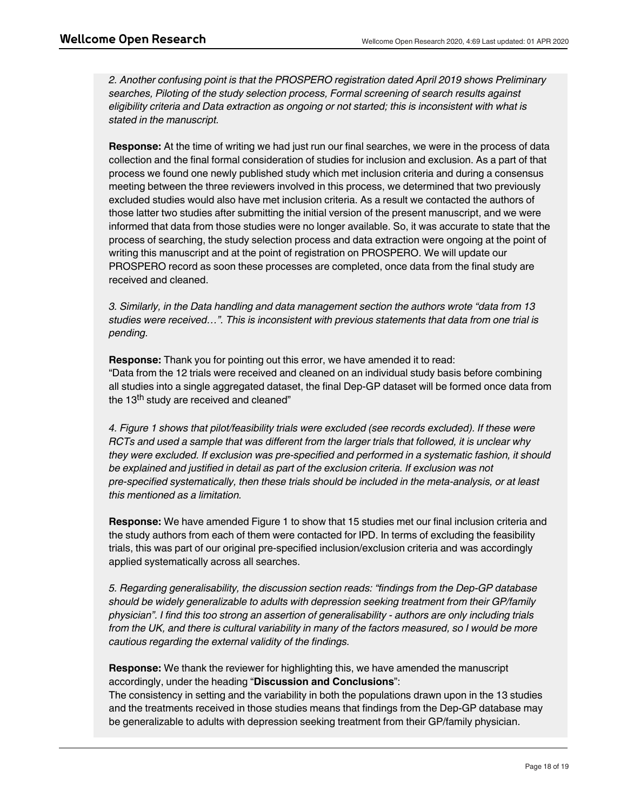*2. Another confusing point is that the PROSPERO registration dated April 2019 shows Preliminary searches, Piloting of the study selection process, Formal screening of search results against eligibility criteria and Data extraction as ongoing or not started; this is inconsistent with what is stated in the manuscript.*

**Response:** At the time of writing we had just run our final searches, we were in the process of data collection and the final formal consideration of studies for inclusion and exclusion. As a part of that process we found one newly published study which met inclusion criteria and during a consensus meeting between the three reviewers involved in this process, we determined that two previously excluded studies would also have met inclusion criteria. As a result we contacted the authors of those latter two studies after submitting the initial version of the present manuscript, and we were informed that data from those studies were no longer available. So, it was accurate to state that the process of searching, the study selection process and data extraction were ongoing at the point of writing this manuscript and at the point of registration on PROSPERO. We will update our PROSPERO record as soon these processes are completed, once data from the final study are received and cleaned.

*3. Similarly, in the Data handling and data management section the authors wrote "data from 13 studies were received…". This is inconsistent with previous statements that data from one trial is pending.*

**Response:** Thank you for pointing out this error, we have amended it to read: "Data from the 12 trials were received and cleaned on an individual study basis before combining all studies into a single aggregated dataset, the final Dep-GP dataset will be formed once data from the 13<sup>th</sup> study are received and cleaned"

*4. Figure 1 shows that pilot/feasibility trials were excluded (see records excluded). If these were RCTs and used a sample that was different from the larger trials that followed, it is unclear why they were excluded. If exclusion was pre-specified and performed in a systematic fashion, it should be explained and justified in detail as part of the exclusion criteria. If exclusion was not pre-specified systematically, then these trials should be included in the meta-analysis, or at least this mentioned as a limitation.*

**Response:** We have amended Figure 1 to show that 15 studies met our final inclusion criteria and the study authors from each of them were contacted for IPD. In terms of excluding the feasibility trials, this was part of our original pre-specified inclusion/exclusion criteria and was accordingly applied systematically across all searches.

*5. Regarding generalisability, the discussion section reads: "findings from the Dep-GP database should be widely generalizable to adults with depression seeking treatment from their GP/family physician". I find this too strong an assertion of generalisability - authors are only including trials from the UK, and there is cultural variability in many of the factors measured, so I would be more cautious regarding the external validity of the findings.*

**Response:** We thank the reviewer for highlighting this, we have amended the manuscript accordingly, under the heading "**Discussion and Conclusions**":

*Competing Interests:* No competing interests were disclosed.

The consistency in setting and the variability in both the populations drawn upon in the 13 studies and the treatments received in those studies means that findings from the Dep-GP database may be generalizable to adults with depression seeking treatment from their GP/family physician.